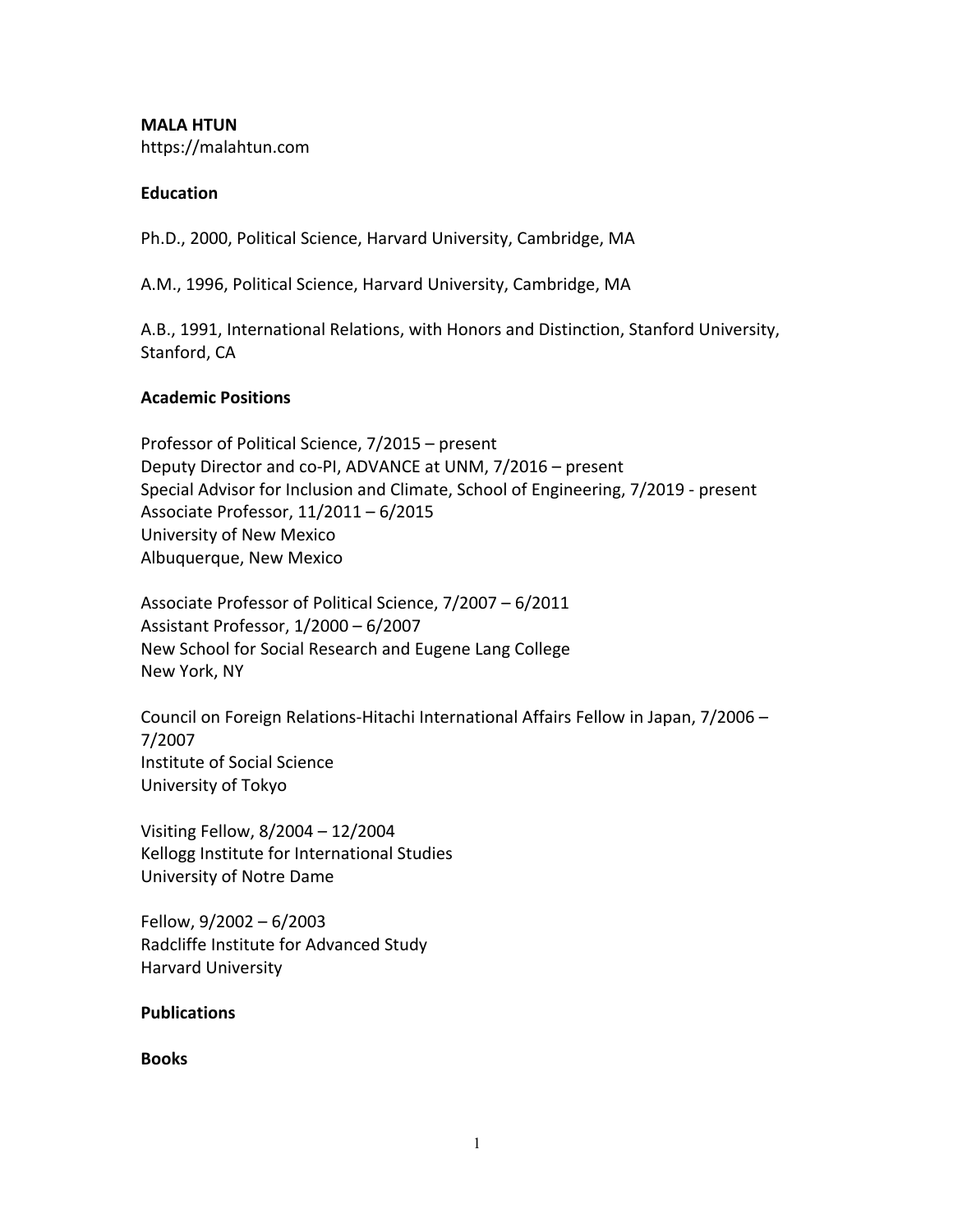**MALA HTUN** https://malahtun.com

### **Education**

Ph.D., 2000, Political Science, Harvard University, Cambridge, MA

A.M., 1996, Political Science, Harvard University, Cambridge, MA

A.B., 1991, International Relations, with Honors and Distinction, Stanford University, Stanford, CA

### **Academic Positions**

Professor of Political Science, 7/2015 – present Deputy Director and co-PI, ADVANCE at UNM, 7/2016 – present Special Advisor for Inclusion and Climate, School of Engineering, 7/2019 - present Associate Professor, 11/2011 – 6/2015 University of New Mexico Albuquerque, New Mexico

Associate Professor of Political Science, 7/2007 – 6/2011 Assistant Professor, 1/2000 – 6/2007 New School for Social Research and Eugene Lang College New York, NY

Council on Foreign Relations-Hitachi International Affairs Fellow in Japan, 7/2006 – 7/2007 Institute of Social Science University of Tokyo

Visiting Fellow, 8/2004 – 12/2004 Kellogg Institute for International Studies University of Notre Dame

Fellow, 9/2002 – 6/2003 Radcliffe Institute for Advanced Study Harvard University

### **Publications**

**Books**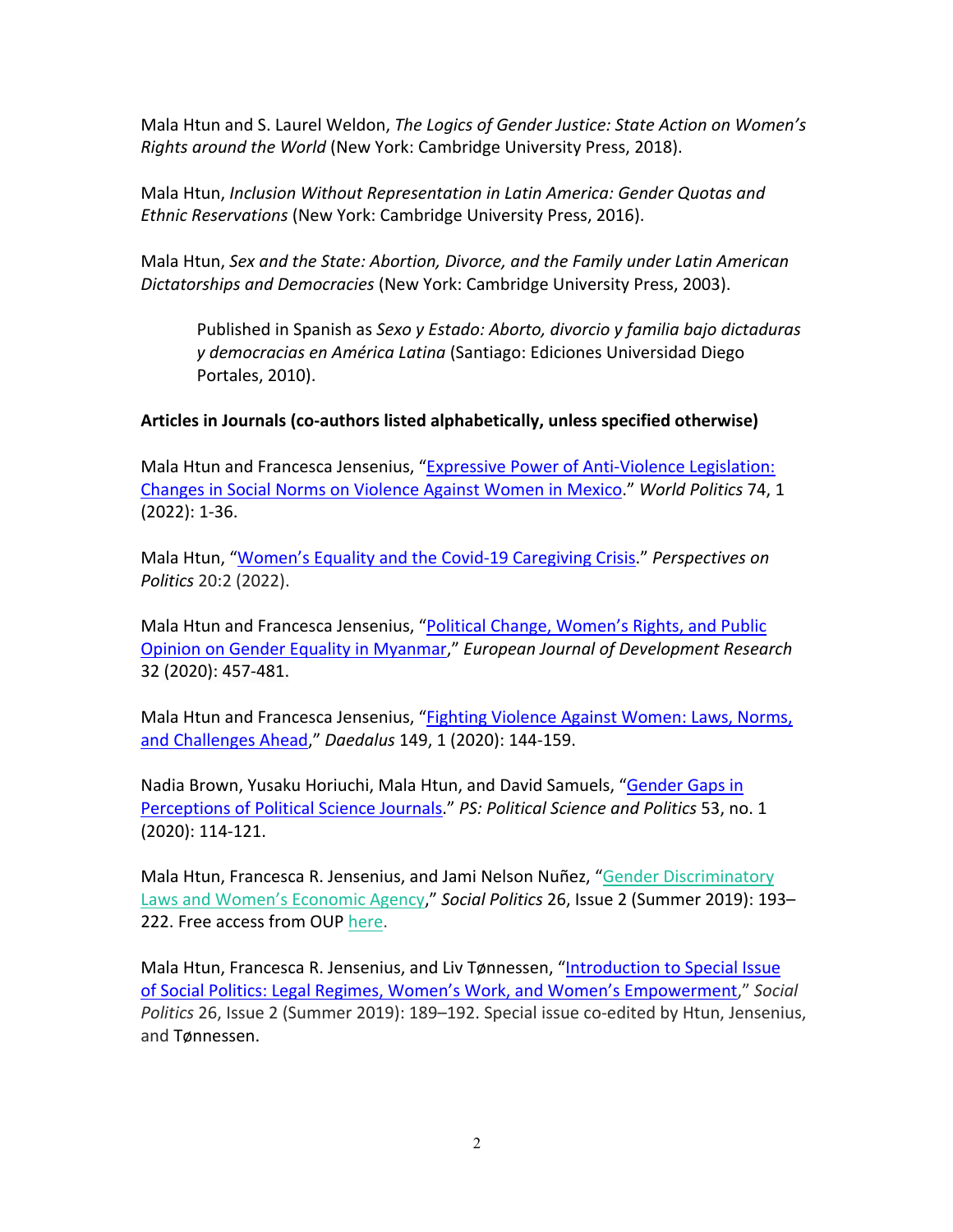Mala Htun and S. Laurel Weldon, *The Logics of Gender Justice: State Action on Women's Rights around the World* (New York: Cambridge University Press, 2018).

Mala Htun, *Inclusion Without Representation in Latin America: Gender Quotas and Ethnic Reservations* (New York: Cambridge University Press, 2016).

Mala Htun, *Sex and the State: Abortion, Divorce, and the Family under Latin American Dictatorships and Democracies* (New York: Cambridge University Press, 2003).

Published in Spanish as *Sexo y Estado: Aborto, divorcio y familia bajo dictaduras y democracias en América Latina* (Santiago: Ediciones Universidad Diego Portales, 2010).

## **Articles in Journals (co-authors listed alphabetically, unless specified otherwise)**

Mala Htun and Francesca Jensenius, "Expressive Power of Anti-Violence Legislation: Changes in Social Norms on Violence Against Women in Mexico." *World Politics* 74, 1 (2022): 1-36.

Mala Htun, "Women's Equality and the Covid-19 Caregiving Crisis." *Perspectives on Politics* 20:2 (2022).

Mala Htun and Francesca Jensenius, "Political Change, Women's Rights, and Public Opinion on Gender Equality in Myanmar," *European Journal of Development Research* 32 (2020): 457-481.

Mala Htun and Francesca Jensenius, "Fighting Violence Against Women: Laws, Norms, and Challenges Ahead," *Daedalus* 149, 1 (2020): 144-159.

Nadia Brown, Yusaku Horiuchi, Mala Htun, and David Samuels, "Gender Gaps in Perceptions of Political Science Journals." *PS: Political Science and Politics* 53, no. 1 (2020): 114-121.

Mala Htun, Francesca R. Jensenius, and Jami Nelson Nuñez, "Gender Discriminatory Laws and Women's Economic Agency," *Social Politics* 26, Issue 2 (Summer 2019): 193– 222. Free access from OUP here.

Mala Htun, Francesca R. Jensenius, and Liv Tønnessen, "Introduction to Special Issue of Social Politics: Legal Regimes, Women's Work, and Women's Empowerment," *Social Politics* 26, Issue 2 (Summer 2019): 189–192. Special issue co-edited by Htun, Jensenius, and Tønnessen.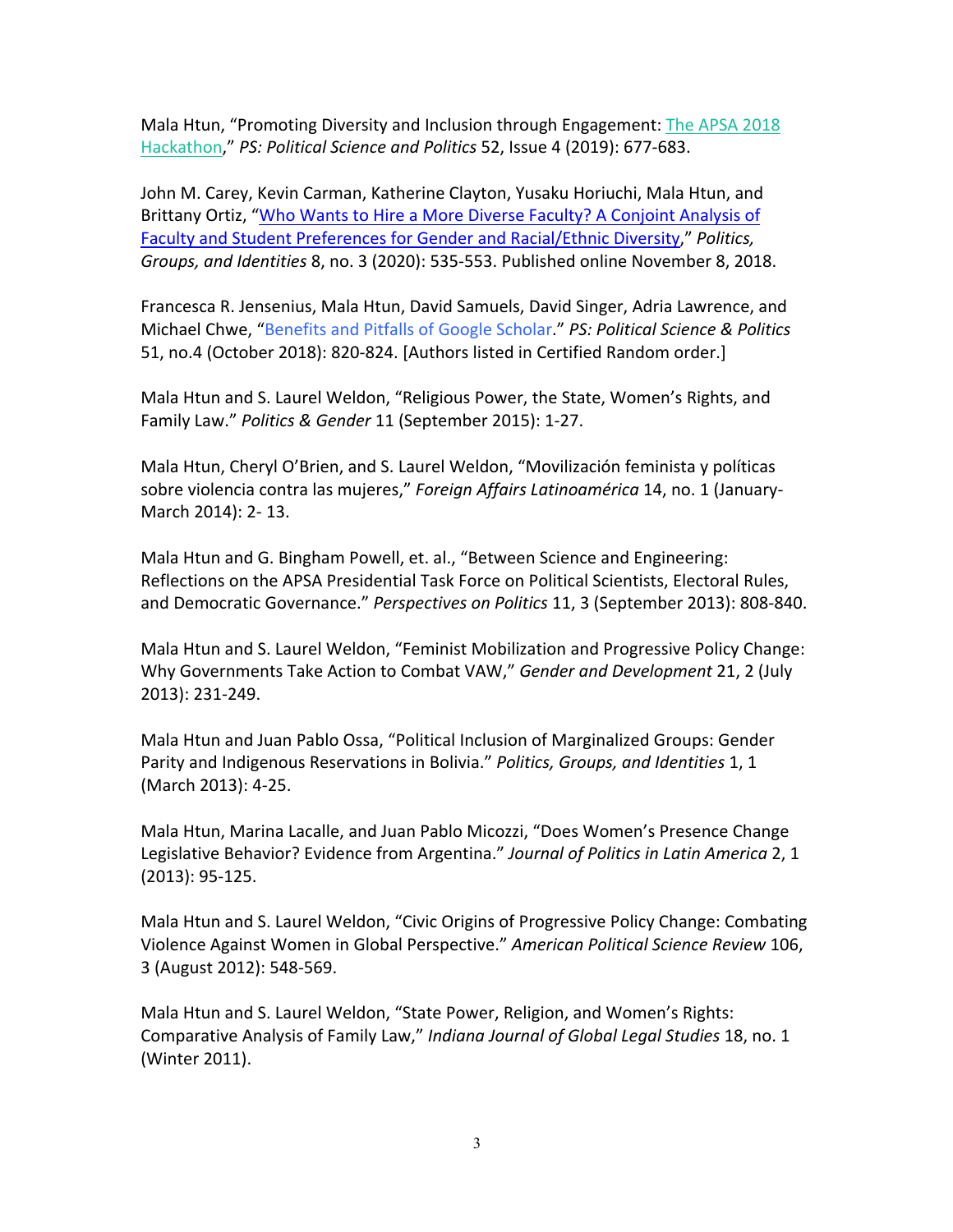Mala Htun, "Promoting Diversity and Inclusion through Engagement: The APSA 2018 Hackathon," *PS: Political Science and Politics* 52, Issue 4 (2019): 677-683.

John M. Carey, Kevin Carman, Katherine Clayton, Yusaku Horiuchi, Mala Htun, and Brittany Ortiz, "Who Wants to Hire a More Diverse Faculty? A Conjoint Analysis of Faculty and Student Preferences for Gender and Racial/Ethnic Diversity," *Politics, Groups, and Identities* 8, no. 3 (2020): 535-553. Published online November 8, 2018.

Francesca R. Jensenius, Mala Htun, David Samuels, David Singer, Adria Lawrence, and Michael Chwe, "Benefits and Pitfalls of Google Scholar." *PS: Political Science & Politics* 51, no.4 (October 2018): 820-824. [Authors listed in Certified Random order.]

Mala Htun and S. Laurel Weldon, "Religious Power, the State, Women's Rights, and Family Law." *Politics & Gender* 11 (September 2015): 1-27.

Mala Htun, Cheryl O'Brien, and S. Laurel Weldon, "Movilización feminista y políticas sobre violencia contra las mujeres," *Foreign Affairs Latinoamérica* 14, no. 1 (January-March 2014): 2- 13.

Mala Htun and G. Bingham Powell, et. al., "Between Science and Engineering: Reflections on the APSA Presidential Task Force on Political Scientists, Electoral Rules, and Democratic Governance." *Perspectives on Politics* 11, 3 (September 2013): 808-840.

Mala Htun and S. Laurel Weldon, "Feminist Mobilization and Progressive Policy Change: Why Governments Take Action to Combat VAW," *Gender and Development* 21, 2 (July 2013): 231-249.

Mala Htun and Juan Pablo Ossa, "Political Inclusion of Marginalized Groups: Gender Parity and Indigenous Reservations in Bolivia." *Politics, Groups, and Identities* 1, 1 (March 2013): 4-25.

Mala Htun, Marina Lacalle, and Juan Pablo Micozzi, "Does Women's Presence Change Legislative Behavior? Evidence from Argentina." *Journal of Politics in Latin America* 2, 1 (2013): 95-125.

Mala Htun and S. Laurel Weldon, "Civic Origins of Progressive Policy Change: Combating Violence Against Women in Global Perspective." *American Political Science Review* 106, 3 (August 2012): 548-569.

Mala Htun and S. Laurel Weldon, "State Power, Religion, and Women's Rights: Comparative Analysis of Family Law," *Indiana Journal of Global Legal Studies* 18, no. 1 (Winter 2011).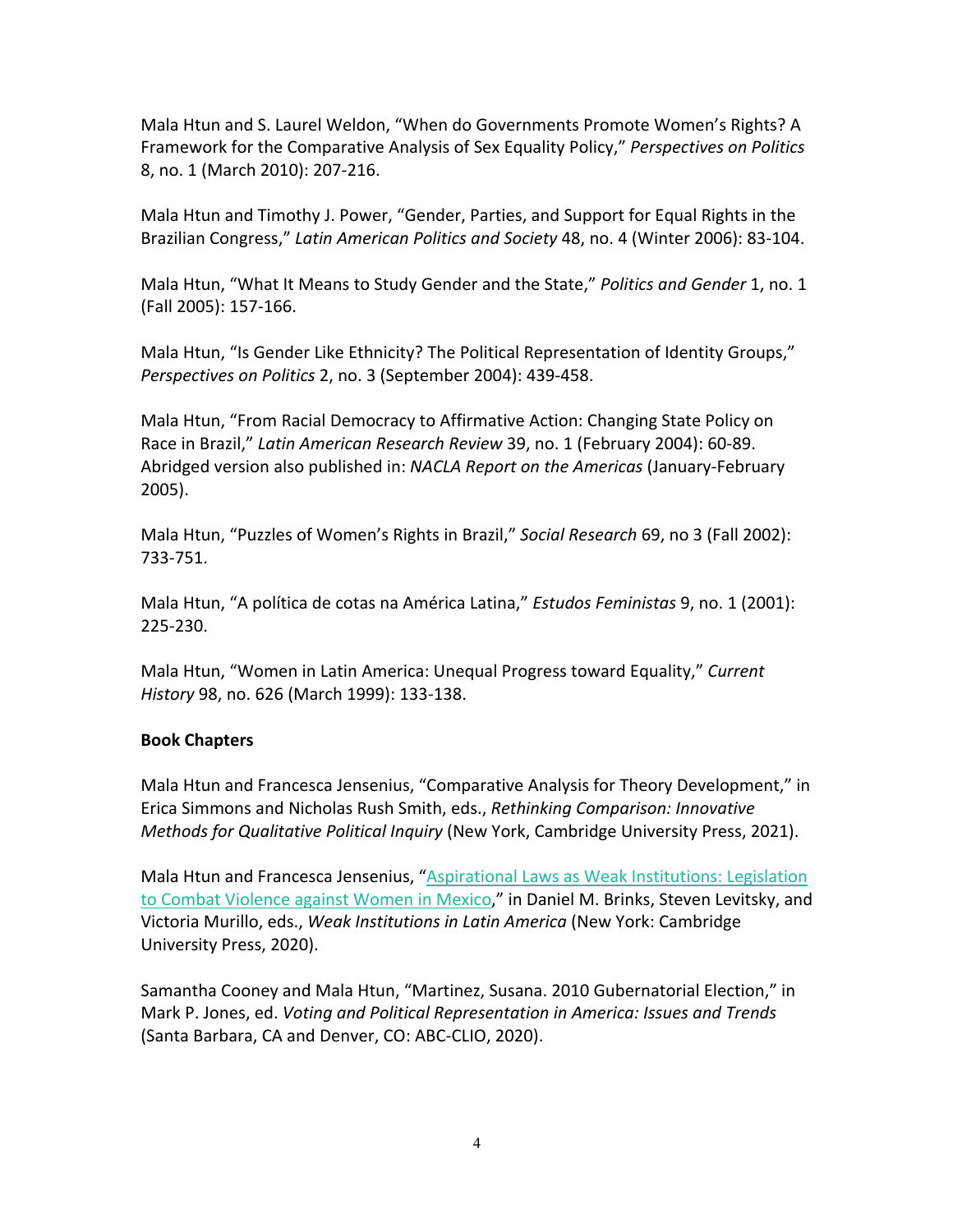Mala Htun and S. Laurel Weldon, "When do Governments Promote Women's Rights? A Framework for the Comparative Analysis of Sex Equality Policy," *Perspectives on Politics* 8, no. 1 (March 2010): 207-216.

Mala Htun and Timothy J. Power, "Gender, Parties, and Support for Equal Rights in the Brazilian Congress," *Latin American Politics and Society* 48, no. 4 (Winter 2006): 83-104.

Mala Htun, "What It Means to Study Gender and the State," *Politics and Gender* 1, no. 1 (Fall 2005): 157-166.

Mala Htun, "Is Gender Like Ethnicity? The Political Representation of Identity Groups," *Perspectives on Politics* 2, no. 3 (September 2004): 439-458.

Mala Htun, "From Racial Democracy to Affirmative Action: Changing State Policy on Race in Brazil," *Latin American Research Review* 39, no. 1 (February 2004): 60-89. Abridged version also published in: *NACLA Report on the Americas* (January-February 2005).

Mala Htun, "Puzzles of Women's Rights in Brazil," *Social Research* 69, no 3 (Fall 2002): 733-751.

Mala Htun, "A política de cotas na América Latina," *Estudos Feministas* 9, no. 1 (2001): 225-230.

Mala Htun, "Women in Latin America: Unequal Progress toward Equality," *Current History* 98, no. 626 (March 1999): 133-138.

# **Book Chapters**

Mala Htun and Francesca Jensenius, "Comparative Analysis for Theory Development," in Erica Simmons and Nicholas Rush Smith, eds., *Rethinking Comparison: Innovative Methods for Qualitative Political Inquiry* (New York, Cambridge University Press, 2021).

Mala Htun and Francesca Jensenius, "Aspirational Laws as Weak Institutions: Legislation to Combat Violence against Women in Mexico," in Daniel M. Brinks, Steven Levitsky, and Victoria Murillo, eds., *Weak Institutions in Latin America* (New York: Cambridge University Press, 2020).

Samantha Cooney and Mala Htun, "Martinez, Susana. 2010 Gubernatorial Election," in Mark P. Jones, ed. *Voting and Political Representation in America: Issues and Trends* (Santa Barbara, CA and Denver, CO: ABC-CLIO, 2020).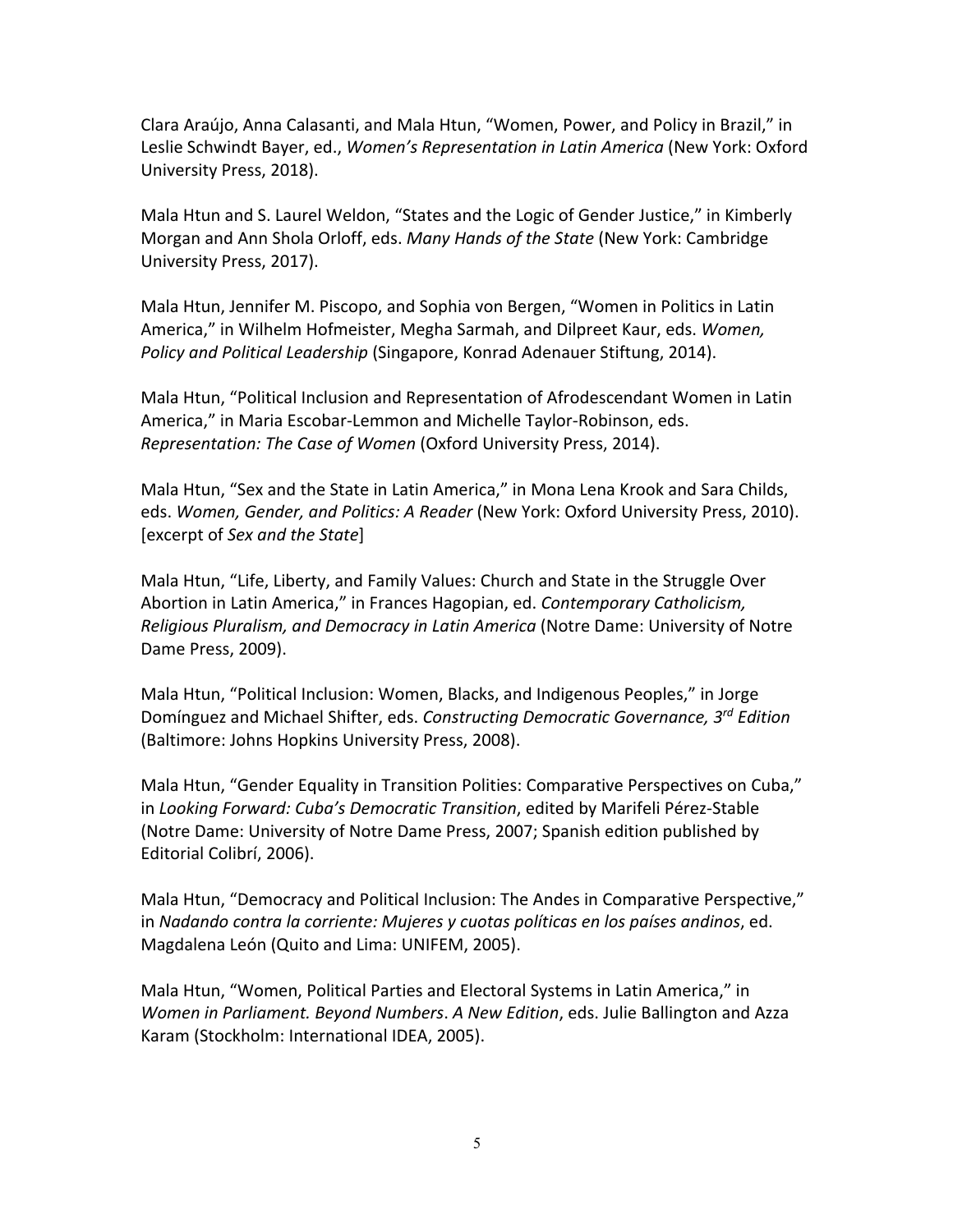Clara Araújo, Anna Calasanti, and Mala Htun, "Women, Power, and Policy in Brazil," in Leslie Schwindt Bayer, ed., *Women's Representation in Latin America* (New York: Oxford University Press, 2018).

Mala Htun and S. Laurel Weldon, "States and the Logic of Gender Justice," in Kimberly Morgan and Ann Shola Orloff, eds. *Many Hands of the State* (New York: Cambridge University Press, 2017).

Mala Htun, Jennifer M. Piscopo, and Sophia von Bergen, "Women in Politics in Latin America," in Wilhelm Hofmeister, Megha Sarmah, and Dilpreet Kaur, eds. *Women, Policy and Political Leadership* (Singapore, Konrad Adenauer Stiftung, 2014).

Mala Htun, "Political Inclusion and Representation of Afrodescendant Women in Latin America," in Maria Escobar-Lemmon and Michelle Taylor-Robinson, eds. *Representation: The Case of Women* (Oxford University Press, 2014).

Mala Htun, "Sex and the State in Latin America," in Mona Lena Krook and Sara Childs, eds. *Women, Gender, and Politics: A Reader* (New York: Oxford University Press, 2010). [excerpt of *Sex and the State*]

Mala Htun, "Life, Liberty, and Family Values: Church and State in the Struggle Over Abortion in Latin America," in Frances Hagopian, ed. *Contemporary Catholicism, Religious Pluralism, and Democracy in Latin America* (Notre Dame: University of Notre Dame Press, 2009).

Mala Htun, "Political Inclusion: Women, Blacks, and Indigenous Peoples," in Jorge Domínguez and Michael Shifter, eds. *Constructing Democratic Governance, 3rd Edition* (Baltimore: Johns Hopkins University Press, 2008).

Mala Htun, "Gender Equality in Transition Polities: Comparative Perspectives on Cuba," in *Looking Forward: Cuba's Democratic Transition*, edited by Marifeli Pérez-Stable (Notre Dame: University of Notre Dame Press, 2007; Spanish edition published by Editorial Colibrí, 2006).

Mala Htun, "Democracy and Political Inclusion: The Andes in Comparative Perspective," in *Nadando contra la corriente: Mujeres y cuotas políticas en los países andinos*, ed. Magdalena León (Quito and Lima: UNIFEM, 2005).

Mala Htun, "Women, Political Parties and Electoral Systems in Latin America," in *Women in Parliament. Beyond Numbers*. *A New Edition*, eds. Julie Ballington and Azza Karam (Stockholm: International IDEA, 2005).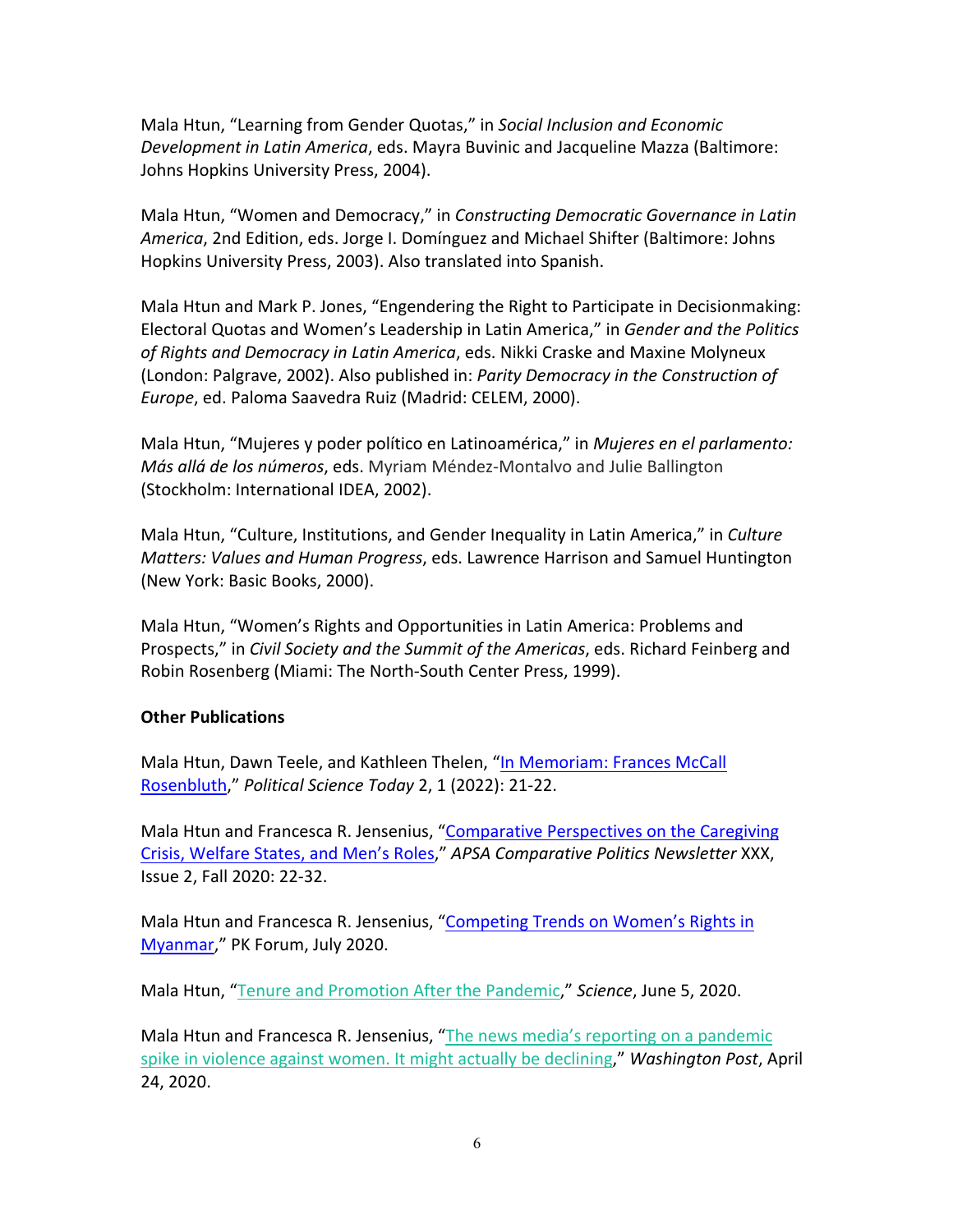Mala Htun, "Learning from Gender Quotas," in *Social Inclusion and Economic Development in Latin America*, eds. Mayra Buvinic and Jacqueline Mazza (Baltimore: Johns Hopkins University Press, 2004).

Mala Htun, "Women and Democracy," in *Constructing Democratic Governance in Latin America*, 2nd Edition, eds. Jorge I. Domínguez and Michael Shifter (Baltimore: Johns Hopkins University Press, 2003). Also translated into Spanish.

Mala Htun and Mark P. Jones, "Engendering the Right to Participate in Decisionmaking: Electoral Quotas and Women's Leadership in Latin America," in *Gender and the Politics of Rights and Democracy in Latin America*, eds. Nikki Craske and Maxine Molyneux (London: Palgrave, 2002). Also published in: *Parity Democracy in the Construction of Europe*, ed. Paloma Saavedra Ruiz (Madrid: CELEM, 2000).

Mala Htun, "Mujeres y poder político en Latinoamérica," in *Mujeres en el parlamento: Más allá de los números*, eds. Myriam Méndez-Montalvo and Julie Ballington (Stockholm: International IDEA, 2002).

Mala Htun, "Culture, Institutions, and Gender Inequality in Latin America," in *Culture Matters: Values and Human Progress*, eds. Lawrence Harrison and Samuel Huntington (New York: Basic Books, 2000).

Mala Htun, "Women's Rights and Opportunities in Latin America: Problems and Prospects," in *Civil Society and the Summit of the Americas*, eds. Richard Feinberg and Robin Rosenberg (Miami: The North-South Center Press, 1999).

### **Other Publications**

Mala Htun, Dawn Teele, and Kathleen Thelen, "In Memoriam: Frances McCall Rosenbluth," *Political Science Today* 2, 1 (2022): 21-22.

Mala Htun and Francesca R. Jensenius, "Comparative Perspectives on the Caregiving Crisis, Welfare States, and Men's Roles," *APSA Comparative Politics Newsletter* XXX, Issue 2, Fall 2020: 22-32.

Mala Htun and Francesca R. Jensenius, "Competing Trends on Women's Rights in Myanmar," PK Forum, July 2020.

Mala Htun, "Tenure and Promotion After the Pandemic," *Science*, June 5, 2020.

Mala Htun and Francesca R. Jensenius, "The news media's reporting on a pandemic spike in violence against women. It might actually be declining," *Washington Post*, April 24, 2020.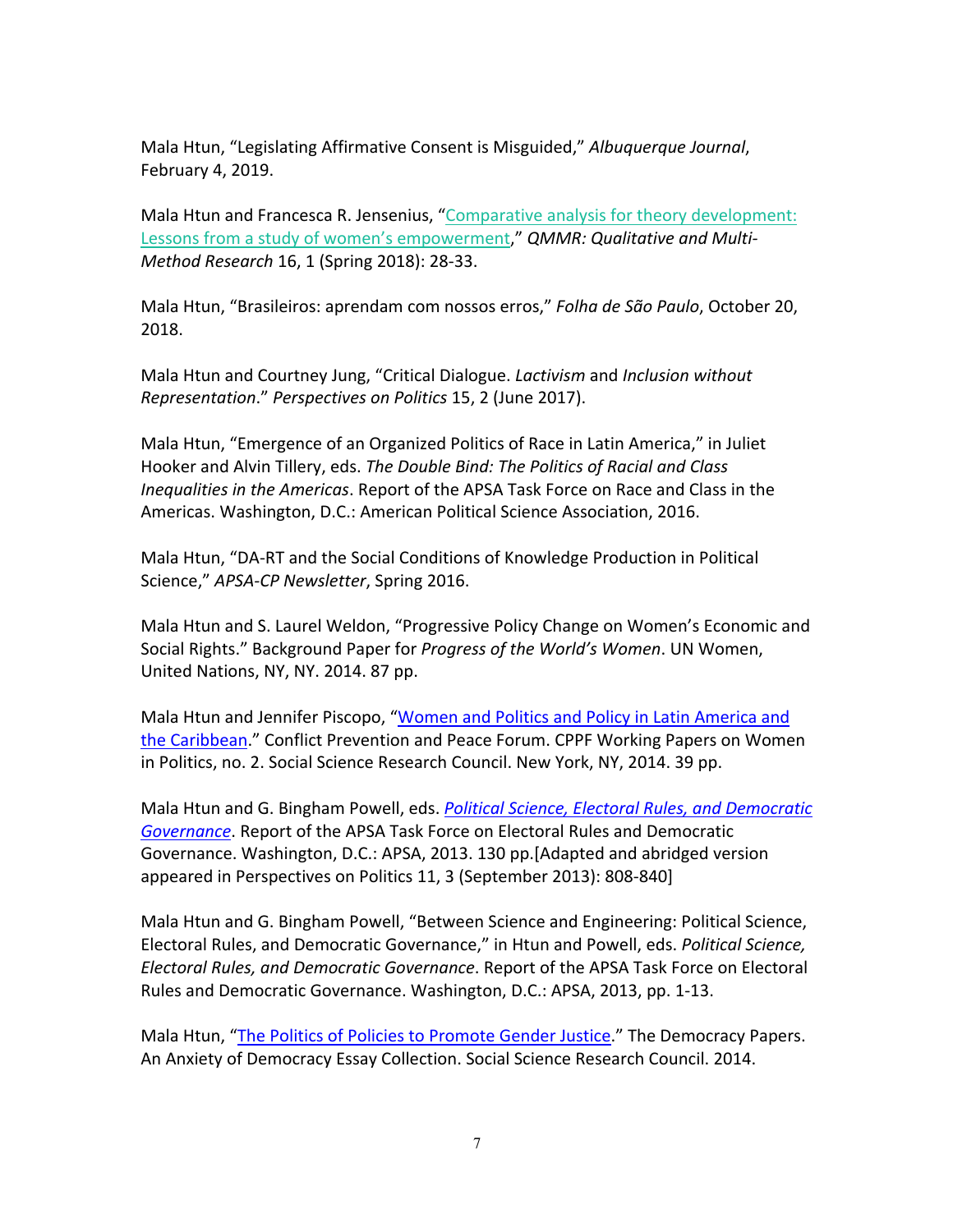Mala Htun, "Legislating Affirmative Consent is Misguided," *Albuquerque Journal*, February 4, 2019.

Mala Htun and Francesca R. Jensenius, "Comparative analysis for theory development: Lessons from a study of women's empowerment," *QMMR: Qualitative and Multi-Method Research* 16, 1 (Spring 2018): 28-33.

Mala Htun, "Brasileiros: aprendam com nossos erros," *Folha de São Paulo*, October 20, 2018.

Mala Htun and Courtney Jung, "Critical Dialogue. *Lactivism* and *Inclusion without Representation*." *Perspectives on Politics* 15, 2 (June 2017).

Mala Htun, "Emergence of an Organized Politics of Race in Latin America," in Juliet Hooker and Alvin Tillery, eds. *The Double Bind: The Politics of Racial and Class Inequalities in the Americas*. Report of the APSA Task Force on Race and Class in the Americas. Washington, D.C.: American Political Science Association, 2016.

Mala Htun, "DA-RT and the Social Conditions of Knowledge Production in Political Science," *APSA-CP Newsletter*, Spring 2016.

Mala Htun and S. Laurel Weldon, "Progressive Policy Change on Women's Economic and Social Rights." Background Paper for *Progress of the World's Women*. UN Women, United Nations, NY, NY. 2014. 87 pp.

Mala Htun and Jennifer Piscopo, "Women and Politics and Policy in Latin America and the Caribbean." Conflict Prevention and Peace Forum. CPPF Working Papers on Women in Politics, no. 2. Social Science Research Council. New York, NY, 2014. 39 pp.

Mala Htun and G. Bingham Powell, eds. *Political Science, Electoral Rules, and Democratic Governance*. Report of the APSA Task Force on Electoral Rules and Democratic Governance. Washington, D.C.: APSA, 2013. 130 pp.[Adapted and abridged version appeared in Perspectives on Politics 11, 3 (September 2013): 808-840]

Mala Htun and G. Bingham Powell, "Between Science and Engineering: Political Science, Electoral Rules, and Democratic Governance," in Htun and Powell, eds. *Political Science, Electoral Rules, and Democratic Governance*. Report of the APSA Task Force on Electoral Rules and Democratic Governance. Washington, D.C.: APSA, 2013, pp. 1-13.

Mala Htun, "The Politics of Policies to Promote Gender Justice." The Democracy Papers. An Anxiety of Democracy Essay Collection. Social Science Research Council. 2014.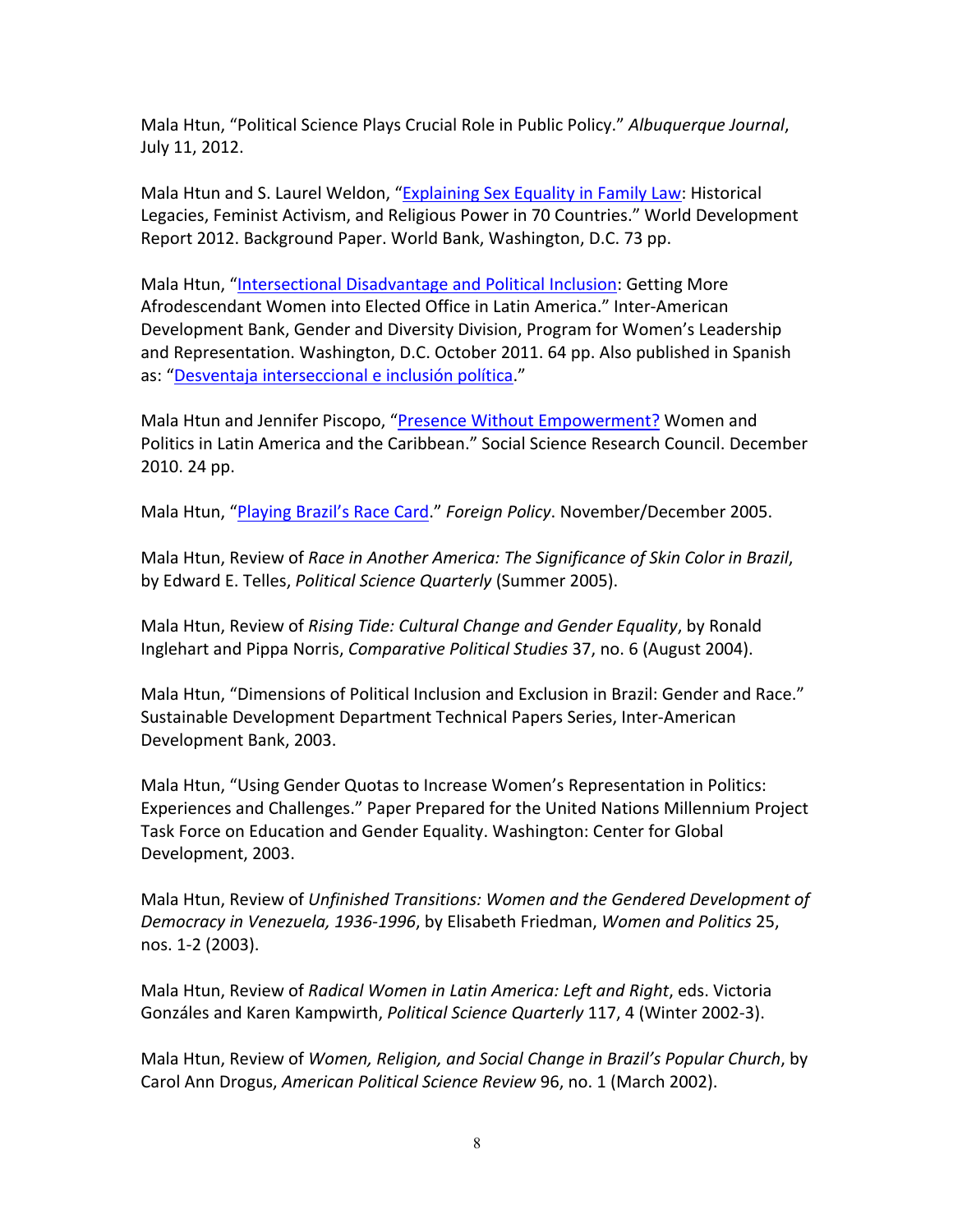Mala Htun, "Political Science Plays Crucial Role in Public Policy." *Albuquerque Journal*, July 11, 2012.

Mala Htun and S. Laurel Weldon, "Explaining Sex Equality in Family Law: Historical Legacies, Feminist Activism, and Religious Power in 70 Countries." World Development Report 2012. Background Paper. World Bank, Washington, D.C. 73 pp.

Mala Htun, "Intersectional Disadvantage and Political Inclusion: Getting More Afrodescendant Women into Elected Office in Latin America." Inter-American Development Bank, Gender and Diversity Division, Program for Women's Leadership and Representation. Washington, D.C. October 2011. 64 pp. Also published in Spanish as: "Desventaja interseccional e inclusión política."

Mala Htun and Jennifer Piscopo, "Presence Without Empowerment? Women and Politics in Latin America and the Caribbean." Social Science Research Council. December 2010. 24 pp.

Mala Htun, "Playing Brazil's Race Card." *Foreign Policy*. November/December 2005.

Mala Htun, Review of *Race in Another America: The Significance of Skin Color in Brazil*, by Edward E. Telles, *Political Science Quarterly* (Summer 2005).

Mala Htun, Review of *Rising Tide: Cultural Change and Gender Equality*, by Ronald Inglehart and Pippa Norris, *Comparative Political Studies* 37, no. 6 (August 2004).

Mala Htun, "Dimensions of Political Inclusion and Exclusion in Brazil: Gender and Race." Sustainable Development Department Technical Papers Series, Inter-American Development Bank, 2003.

Mala Htun, "Using Gender Quotas to Increase Women's Representation in Politics: Experiences and Challenges." Paper Prepared for the United Nations Millennium Project Task Force on Education and Gender Equality. Washington: Center for Global Development, 2003.

Mala Htun, Review of *Unfinished Transitions: Women and the Gendered Development of Democracy in Venezuela, 1936-1996*, by Elisabeth Friedman, *Women and Politics* 25, nos. 1-2 (2003).

Mala Htun, Review of *Radical Women in Latin America: Left and Right*, eds. Victoria Gonzáles and Karen Kampwirth, *Political Science Quarterly* 117, 4 (Winter 2002-3).

Mala Htun, Review of *Women, Religion, and Social Change in Brazil's Popular Church*, by Carol Ann Drogus, *American Political Science Review* 96, no. 1 (March 2002).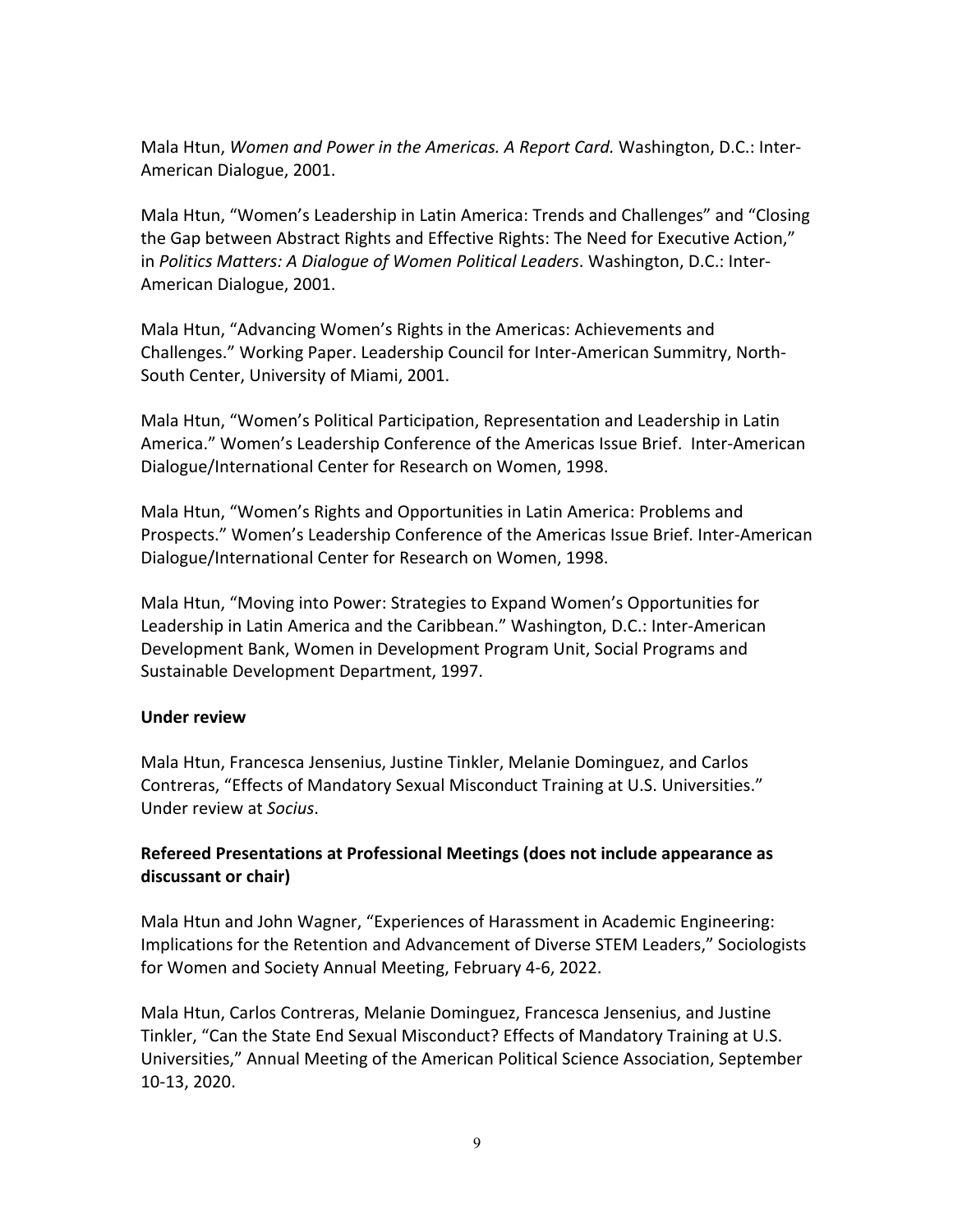Mala Htun, *Women and Power in the Americas. A Report Card.* Washington, D.C.: Inter-American Dialogue, 2001.

Mala Htun, "Women's Leadership in Latin America: Trends and Challenges" and "Closing the Gap between Abstract Rights and Effective Rights: The Need for Executive Action," in *Politics Matters: A Dialogue of Women Political Leaders*. Washington, D.C.: Inter-American Dialogue, 2001.

Mala Htun, "Advancing Women's Rights in the Americas: Achievements and Challenges." Working Paper. Leadership Council for Inter-American Summitry, North-South Center, University of Miami, 2001.

Mala Htun, "Women's Political Participation, Representation and Leadership in Latin America." Women's Leadership Conference of the Americas Issue Brief. Inter-American Dialogue/International Center for Research on Women, 1998.

Mala Htun, "Women's Rights and Opportunities in Latin America: Problems and Prospects." Women's Leadership Conference of the Americas Issue Brief. Inter-American Dialogue/International Center for Research on Women, 1998.

Mala Htun, "Moving into Power: Strategies to Expand Women's Opportunities for Leadership in Latin America and the Caribbean." Washington, D.C.: Inter-American Development Bank, Women in Development Program Unit, Social Programs and Sustainable Development Department, 1997.

### **Under review**

Mala Htun, Francesca Jensenius, Justine Tinkler, Melanie Dominguez, and Carlos Contreras, "Effects of Mandatory Sexual Misconduct Training at U.S. Universities." Under review at *Socius*.

## **Refereed Presentations at Professional Meetings (does not include appearance as discussant or chair)**

Mala Htun and John Wagner, "Experiences of Harassment in Academic Engineering: Implications for the Retention and Advancement of Diverse STEM Leaders," Sociologists for Women and Society Annual Meeting, February 4-6, 2022.

Mala Htun, Carlos Contreras, Melanie Dominguez, Francesca Jensenius, and Justine Tinkler, "Can the State End Sexual Misconduct? Effects of Mandatory Training at U.S. Universities," Annual Meeting of the American Political Science Association, September 10-13, 2020.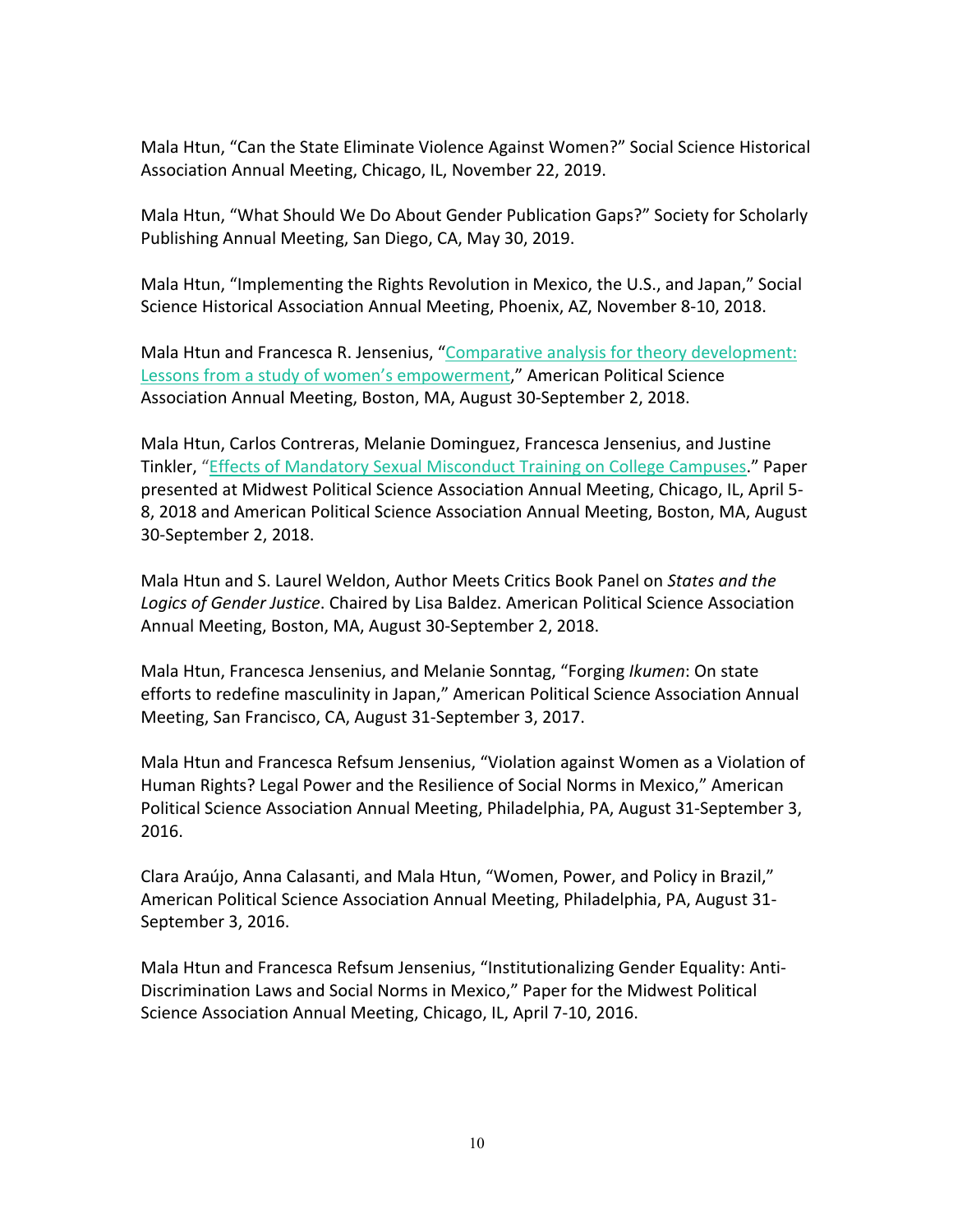Mala Htun, "Can the State Eliminate Violence Against Women?" Social Science Historical Association Annual Meeting, Chicago, IL, November 22, 2019.

Mala Htun, "What Should We Do About Gender Publication Gaps?" Society for Scholarly Publishing Annual Meeting, San Diego, CA, May 30, 2019.

Mala Htun, "Implementing the Rights Revolution in Mexico, the U.S., and Japan," Social Science Historical Association Annual Meeting, Phoenix, AZ, November 8-10, 2018.

Mala Htun and Francesca R. Jensenius, "Comparative analysis for theory development: Lessons from a study of women's empowerment," American Political Science Association Annual Meeting, Boston, MA, August 30-September 2, 2018.

Mala Htun, Carlos Contreras, Melanie Dominguez, Francesca Jensenius, and Justine Tinkler, "Effects of Mandatory Sexual Misconduct Training on College Campuses." Paper presented at Midwest Political Science Association Annual Meeting, Chicago, IL, April 5- 8, 2018 and American Political Science Association Annual Meeting, Boston, MA, August 30-September 2, 2018.

Mala Htun and S. Laurel Weldon, Author Meets Critics Book Panel on *States and the Logics of Gender Justice*. Chaired by Lisa Baldez. American Political Science Association Annual Meeting, Boston, MA, August 30-September 2, 2018.

Mala Htun, Francesca Jensenius, and Melanie Sonntag, "Forging *Ikumen*: On state efforts to redefine masculinity in Japan," American Political Science Association Annual Meeting, San Francisco, CA, August 31-September 3, 2017.

Mala Htun and Francesca Refsum Jensenius, "Violation against Women as a Violation of Human Rights? Legal Power and the Resilience of Social Norms in Mexico," American Political Science Association Annual Meeting, Philadelphia, PA, August 31-September 3, 2016.

Clara Araújo, Anna Calasanti, and Mala Htun, "Women, Power, and Policy in Brazil," American Political Science Association Annual Meeting, Philadelphia, PA, August 31- September 3, 2016.

Mala Htun and Francesca Refsum Jensenius, "Institutionalizing Gender Equality: Anti-Discrimination Laws and Social Norms in Mexico," Paper for the Midwest Political Science Association Annual Meeting, Chicago, IL, April 7-10, 2016.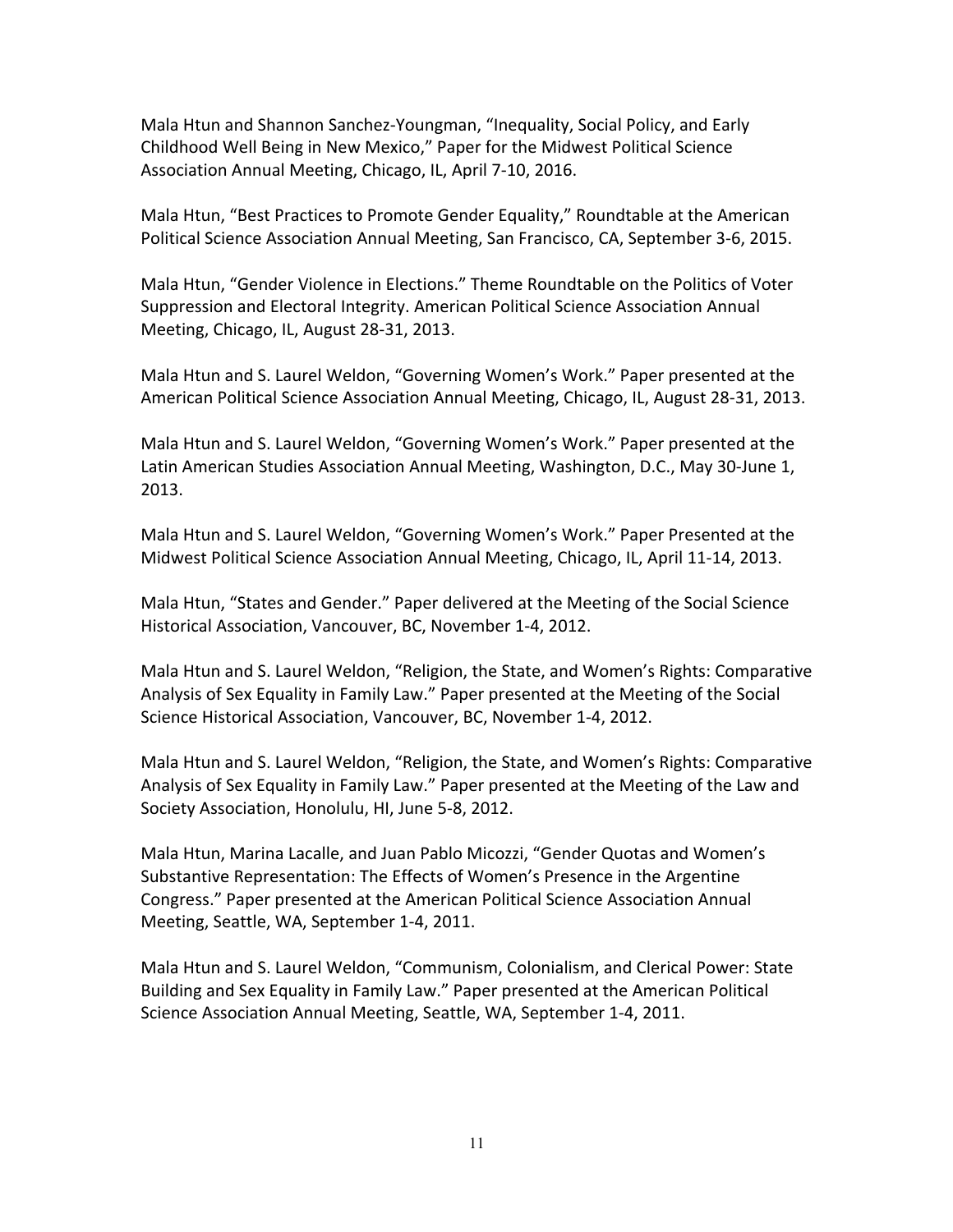Mala Htun and Shannon Sanchez-Youngman, "Inequality, Social Policy, and Early Childhood Well Being in New Mexico," Paper for the Midwest Political Science Association Annual Meeting, Chicago, IL, April 7-10, 2016.

Mala Htun, "Best Practices to Promote Gender Equality," Roundtable at the American Political Science Association Annual Meeting, San Francisco, CA, September 3-6, 2015.

Mala Htun, "Gender Violence in Elections." Theme Roundtable on the Politics of Voter Suppression and Electoral Integrity. American Political Science Association Annual Meeting, Chicago, IL, August 28-31, 2013.

Mala Htun and S. Laurel Weldon, "Governing Women's Work." Paper presented at the American Political Science Association Annual Meeting, Chicago, IL, August 28-31, 2013.

Mala Htun and S. Laurel Weldon, "Governing Women's Work." Paper presented at the Latin American Studies Association Annual Meeting, Washington, D.C., May 30-June 1, 2013.

Mala Htun and S. Laurel Weldon, "Governing Women's Work." Paper Presented at the Midwest Political Science Association Annual Meeting, Chicago, IL, April 11-14, 2013.

Mala Htun, "States and Gender." Paper delivered at the Meeting of the Social Science Historical Association, Vancouver, BC, November 1-4, 2012.

Mala Htun and S. Laurel Weldon, "Religion, the State, and Women's Rights: Comparative Analysis of Sex Equality in Family Law." Paper presented at the Meeting of the Social Science Historical Association, Vancouver, BC, November 1-4, 2012.

Mala Htun and S. Laurel Weldon, "Religion, the State, and Women's Rights: Comparative Analysis of Sex Equality in Family Law." Paper presented at the Meeting of the Law and Society Association, Honolulu, HI, June 5-8, 2012.

Mala Htun, Marina Lacalle, and Juan Pablo Micozzi, "Gender Quotas and Women's Substantive Representation: The Effects of Women's Presence in the Argentine Congress." Paper presented at the American Political Science Association Annual Meeting, Seattle, WA, September 1-4, 2011.

Mala Htun and S. Laurel Weldon, "Communism, Colonialism, and Clerical Power: State Building and Sex Equality in Family Law." Paper presented at the American Political Science Association Annual Meeting, Seattle, WA, September 1-4, 2011.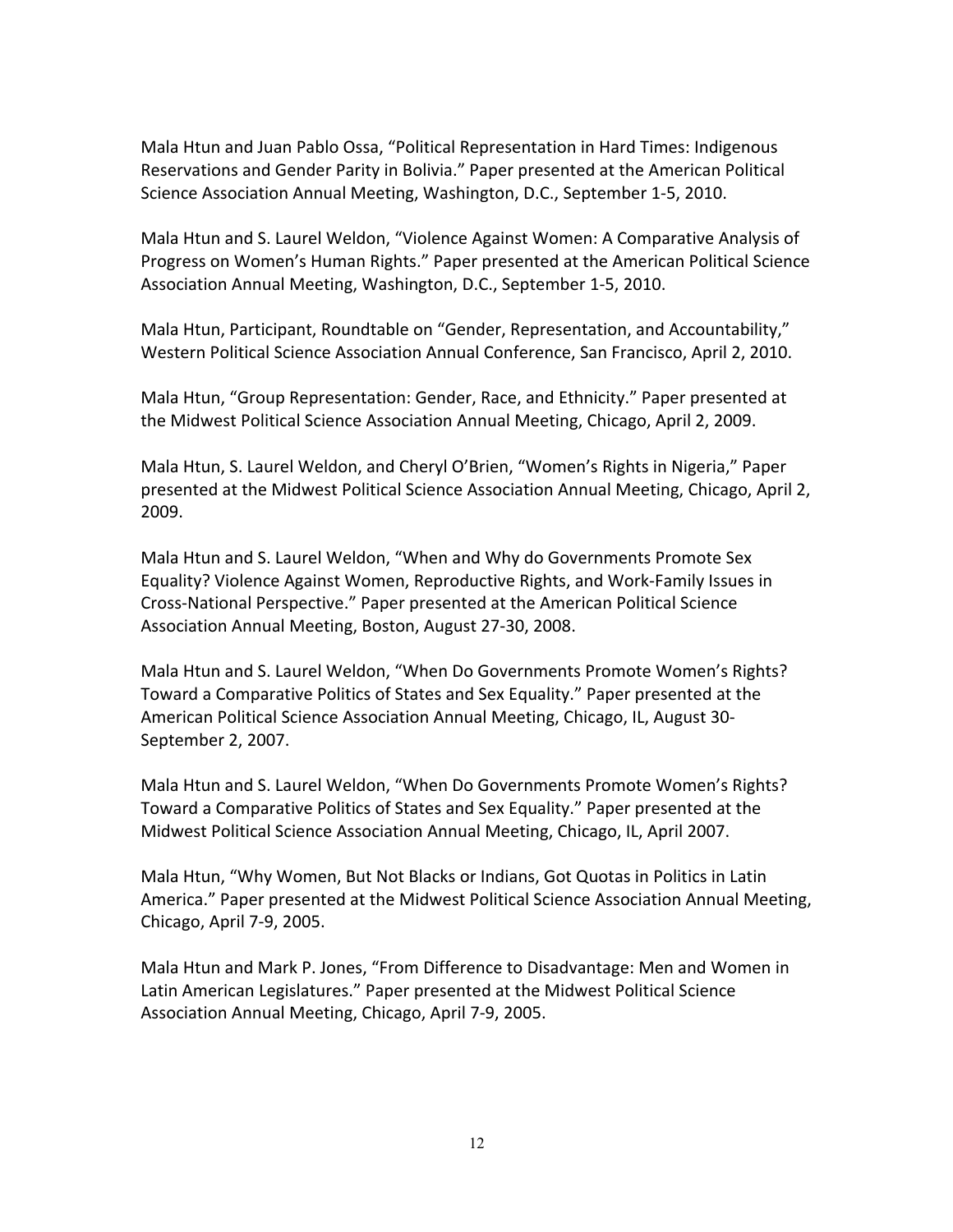Mala Htun and Juan Pablo Ossa, "Political Representation in Hard Times: Indigenous Reservations and Gender Parity in Bolivia." Paper presented at the American Political Science Association Annual Meeting, Washington, D.C., September 1-5, 2010.

Mala Htun and S. Laurel Weldon, "Violence Against Women: A Comparative Analysis of Progress on Women's Human Rights." Paper presented at the American Political Science Association Annual Meeting, Washington, D.C., September 1-5, 2010.

Mala Htun, Participant, Roundtable on "Gender, Representation, and Accountability," Western Political Science Association Annual Conference, San Francisco, April 2, 2010.

Mala Htun, "Group Representation: Gender, Race, and Ethnicity." Paper presented at the Midwest Political Science Association Annual Meeting, Chicago, April 2, 2009.

Mala Htun, S. Laurel Weldon, and Cheryl O'Brien, "Women's Rights in Nigeria," Paper presented at the Midwest Political Science Association Annual Meeting, Chicago, April 2, 2009.

Mala Htun and S. Laurel Weldon, "When and Why do Governments Promote Sex Equality? Violence Against Women, Reproductive Rights, and Work-Family Issues in Cross-National Perspective." Paper presented at the American Political Science Association Annual Meeting, Boston, August 27-30, 2008.

Mala Htun and S. Laurel Weldon, "When Do Governments Promote Women's Rights? Toward a Comparative Politics of States and Sex Equality." Paper presented at the American Political Science Association Annual Meeting, Chicago, IL, August 30- September 2, 2007.

Mala Htun and S. Laurel Weldon, "When Do Governments Promote Women's Rights? Toward a Comparative Politics of States and Sex Equality." Paper presented at the Midwest Political Science Association Annual Meeting, Chicago, IL, April 2007.

Mala Htun, "Why Women, But Not Blacks or Indians, Got Quotas in Politics in Latin America." Paper presented at the Midwest Political Science Association Annual Meeting, Chicago, April 7-9, 2005.

Mala Htun and Mark P. Jones, "From Difference to Disadvantage: Men and Women in Latin American Legislatures." Paper presented at the Midwest Political Science Association Annual Meeting, Chicago, April 7-9, 2005.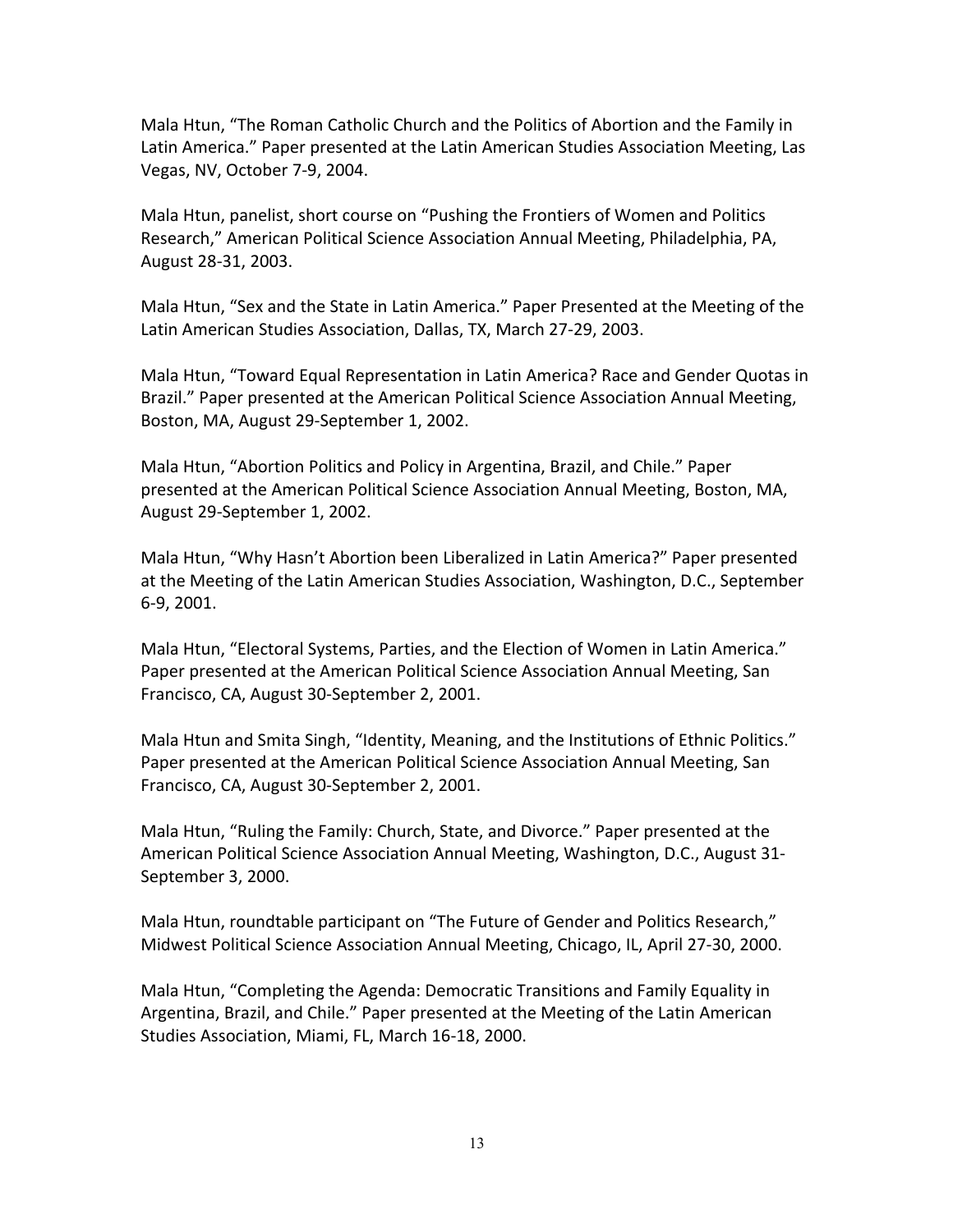Mala Htun, "The Roman Catholic Church and the Politics of Abortion and the Family in Latin America." Paper presented at the Latin American Studies Association Meeting, Las Vegas, NV, October 7-9, 2004.

Mala Htun, panelist, short course on "Pushing the Frontiers of Women and Politics Research," American Political Science Association Annual Meeting, Philadelphia, PA, August 28-31, 2003.

Mala Htun, "Sex and the State in Latin America." Paper Presented at the Meeting of the Latin American Studies Association, Dallas, TX, March 27-29, 2003.

Mala Htun, "Toward Equal Representation in Latin America? Race and Gender Quotas in Brazil." Paper presented at the American Political Science Association Annual Meeting, Boston, MA, August 29-September 1, 2002.

Mala Htun, "Abortion Politics and Policy in Argentina, Brazil, and Chile." Paper presented at the American Political Science Association Annual Meeting, Boston, MA, August 29-September 1, 2002.

Mala Htun, "Why Hasn't Abortion been Liberalized in Latin America?" Paper presented at the Meeting of the Latin American Studies Association, Washington, D.C., September 6-9, 2001.

Mala Htun, "Electoral Systems, Parties, and the Election of Women in Latin America." Paper presented at the American Political Science Association Annual Meeting, San Francisco, CA, August 30-September 2, 2001.

Mala Htun and Smita Singh, "Identity, Meaning, and the Institutions of Ethnic Politics." Paper presented at the American Political Science Association Annual Meeting, San Francisco, CA, August 30-September 2, 2001.

Mala Htun, "Ruling the Family: Church, State, and Divorce." Paper presented at the American Political Science Association Annual Meeting, Washington, D.C., August 31- September 3, 2000.

Mala Htun, roundtable participant on "The Future of Gender and Politics Research," Midwest Political Science Association Annual Meeting, Chicago, IL, April 27-30, 2000.

Mala Htun, "Completing the Agenda: Democratic Transitions and Family Equality in Argentina, Brazil, and Chile." Paper presented at the Meeting of the Latin American Studies Association, Miami, FL, March 16-18, 2000.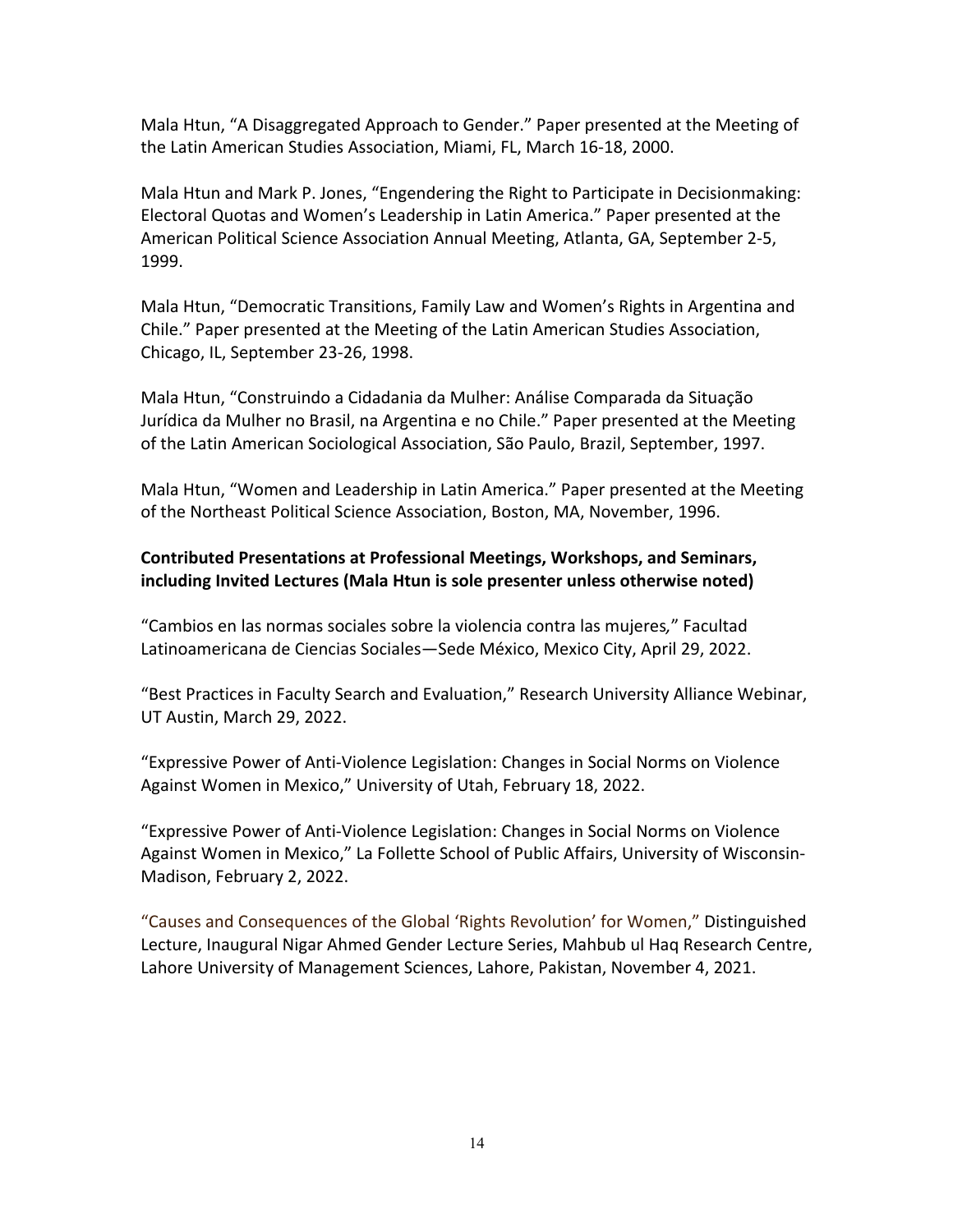Mala Htun, "A Disaggregated Approach to Gender." Paper presented at the Meeting of the Latin American Studies Association, Miami, FL, March 16-18, 2000.

Mala Htun and Mark P. Jones, "Engendering the Right to Participate in Decisionmaking: Electoral Quotas and Women's Leadership in Latin America." Paper presented at the American Political Science Association Annual Meeting, Atlanta, GA, September 2-5, 1999.

Mala Htun, "Democratic Transitions, Family Law and Women's Rights in Argentina and Chile." Paper presented at the Meeting of the Latin American Studies Association, Chicago, IL, September 23-26, 1998.

Mala Htun, "Construindo a Cidadania da Mulher: Análise Comparada da Situação Jurídica da Mulher no Brasil, na Argentina e no Chile." Paper presented at the Meeting of the Latin American Sociological Association, São Paulo, Brazil, September, 1997.

Mala Htun, "Women and Leadership in Latin America." Paper presented at the Meeting of the Northeast Political Science Association, Boston, MA, November, 1996.

# **Contributed Presentations at Professional Meetings, Workshops, and Seminars, including Invited Lectures (Mala Htun is sole presenter unless otherwise noted)**

"Cambios en las normas sociales sobre la violencia contra las mujeres*,*" Facultad Latinoamericana de Ciencias Sociales—Sede México, Mexico City, April 29, 2022.

"Best Practices in Faculty Search and Evaluation," Research University Alliance Webinar, UT Austin, March 29, 2022.

"Expressive Power of Anti-Violence Legislation: Changes in Social Norms on Violence Against Women in Mexico," University of Utah, February 18, 2022.

"Expressive Power of Anti-Violence Legislation: Changes in Social Norms on Violence Against Women in Mexico," La Follette School of Public Affairs, University of Wisconsin-Madison, February 2, 2022.

"Causes and Consequences of the Global 'Rights Revolution' for Women," Distinguished Lecture, Inaugural Nigar Ahmed Gender Lecture Series, Mahbub ul Haq Research Centre, Lahore University of Management Sciences, Lahore, Pakistan, November 4, 2021.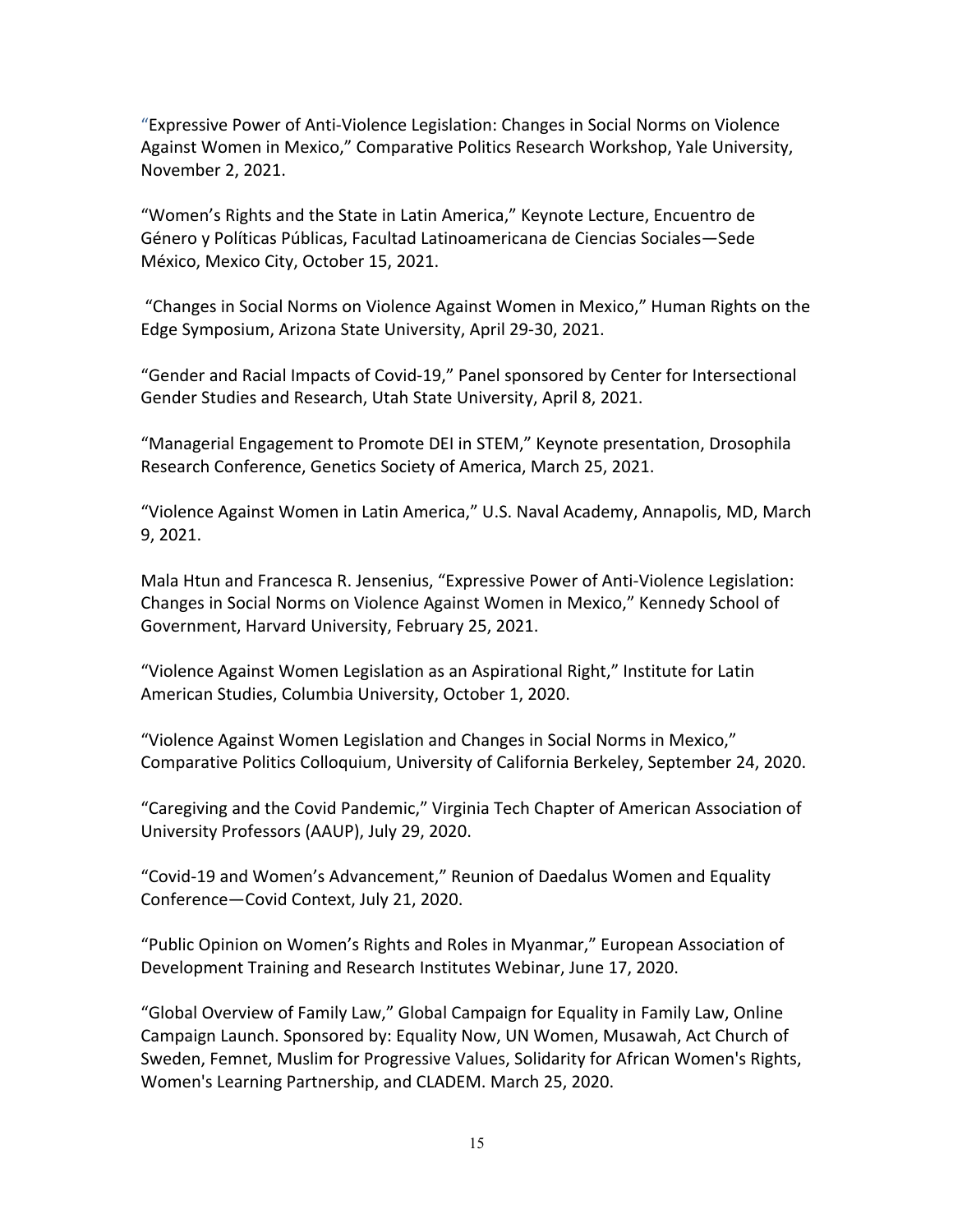"Expressive Power of Anti-Violence Legislation: Changes in Social Norms on Violence Against Women in Mexico," Comparative Politics Research Workshop, Yale University, November 2, 2021.

"Women's Rights and the State in Latin America," Keynote Lecture, Encuentro de Género y Políticas Públicas, Facultad Latinoamericana de Ciencias Sociales—Sede México, Mexico City, October 15, 2021.

"Changes in Social Norms on Violence Against Women in Mexico," Human Rights on the Edge Symposium, Arizona State University, April 29-30, 2021.

"Gender and Racial Impacts of Covid-19," Panel sponsored by Center for Intersectional Gender Studies and Research, Utah State University, April 8, 2021.

"Managerial Engagement to Promote DEI in STEM," Keynote presentation, Drosophila Research Conference, Genetics Society of America, March 25, 2021.

"Violence Against Women in Latin America," U.S. Naval Academy, Annapolis, MD, March 9, 2021.

Mala Htun and Francesca R. Jensenius, "Expressive Power of Anti-Violence Legislation: Changes in Social Norms on Violence Against Women in Mexico," Kennedy School of Government, Harvard University, February 25, 2021.

"Violence Against Women Legislation as an Aspirational Right," Institute for Latin American Studies, Columbia University, October 1, 2020.

"Violence Against Women Legislation and Changes in Social Norms in Mexico," Comparative Politics Colloquium, University of California Berkeley, September 24, 2020.

"Caregiving and the Covid Pandemic," Virginia Tech Chapter of American Association of University Professors (AAUP), July 29, 2020.

"Covid-19 and Women's Advancement," Reunion of Daedalus Women and Equality Conference—Covid Context, July 21, 2020.

"Public Opinion on Women's Rights and Roles in Myanmar," European Association of Development Training and Research Institutes Webinar, June 17, 2020.

"Global Overview of Family Law," Global Campaign for Equality in Family Law, Online Campaign Launch. Sponsored by: Equality Now, UN Women, Musawah, Act Church of Sweden, Femnet, Muslim for Progressive Values, Solidarity for African Women's Rights, Women's Learning Partnership, and CLADEM. March 25, 2020.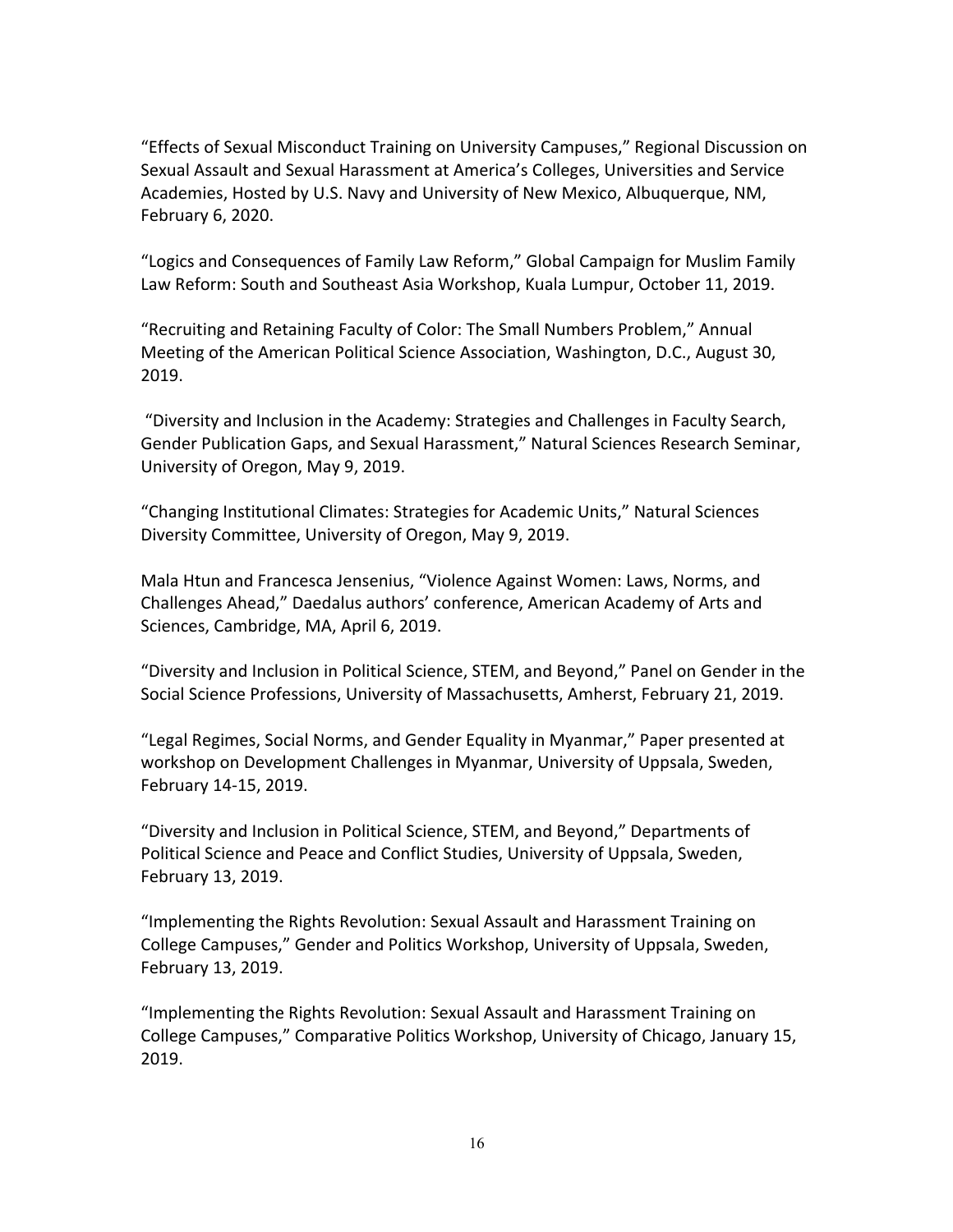"Effects of Sexual Misconduct Training on University Campuses," Regional Discussion on Sexual Assault and Sexual Harassment at America's Colleges, Universities and Service Academies, Hosted by U.S. Navy and University of New Mexico, Albuquerque, NM, February 6, 2020.

"Logics and Consequences of Family Law Reform," Global Campaign for Muslim Family Law Reform: South and Southeast Asia Workshop, Kuala Lumpur, October 11, 2019.

"Recruiting and Retaining Faculty of Color: The Small Numbers Problem," Annual Meeting of the American Political Science Association, Washington, D.C., August 30, 2019.

"Diversity and Inclusion in the Academy: Strategies and Challenges in Faculty Search, Gender Publication Gaps, and Sexual Harassment," Natural Sciences Research Seminar, University of Oregon, May 9, 2019.

"Changing Institutional Climates: Strategies for Academic Units," Natural Sciences Diversity Committee, University of Oregon, May 9, 2019.

Mala Htun and Francesca Jensenius, "Violence Against Women: Laws, Norms, and Challenges Ahead," Daedalus authors' conference, American Academy of Arts and Sciences, Cambridge, MA, April 6, 2019.

"Diversity and Inclusion in Political Science, STEM, and Beyond," Panel on Gender in the Social Science Professions, University of Massachusetts, Amherst, February 21, 2019.

"Legal Regimes, Social Norms, and Gender Equality in Myanmar," Paper presented at workshop on Development Challenges in Myanmar, University of Uppsala, Sweden, February 14-15, 2019.

"Diversity and Inclusion in Political Science, STEM, and Beyond," Departments of Political Science and Peace and Conflict Studies, University of Uppsala, Sweden, February 13, 2019.

"Implementing the Rights Revolution: Sexual Assault and Harassment Training on College Campuses," Gender and Politics Workshop, University of Uppsala, Sweden, February 13, 2019.

"Implementing the Rights Revolution: Sexual Assault and Harassment Training on College Campuses," Comparative Politics Workshop, University of Chicago, January 15, 2019.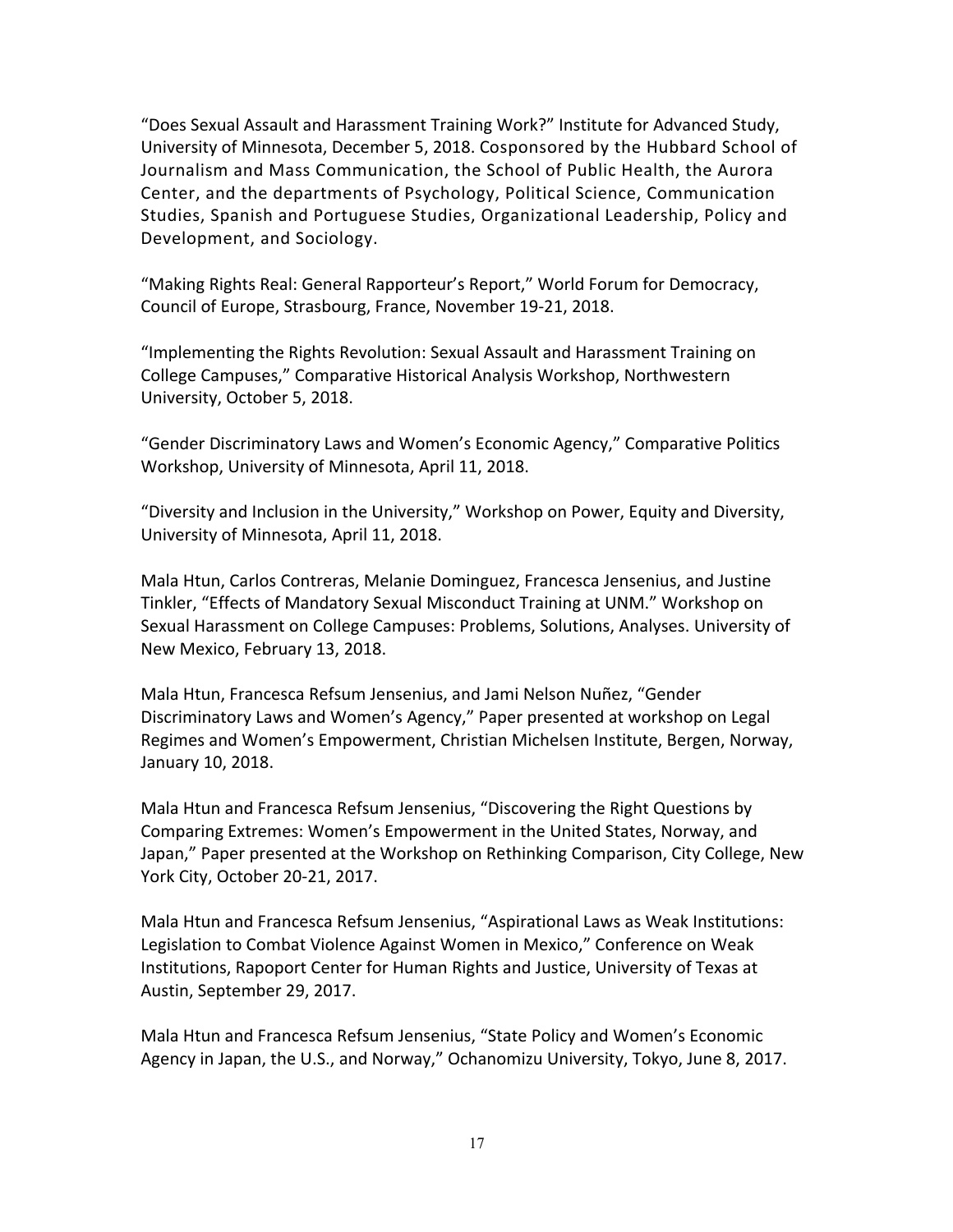"Does Sexual Assault and Harassment Training Work?" Institute for Advanced Study, University of Minnesota, December 5, 2018. Cosponsored by the Hubbard School of Journalism and Mass Communication, the School of Public Health, the Aurora Center, and the departments of Psychology, Political Science, Communication Studies, Spanish and Portuguese Studies, Organizational Leadership, Policy and Development, and Sociology.

"Making Rights Real: General Rapporteur's Report," World Forum for Democracy, Council of Europe, Strasbourg, France, November 19-21, 2018.

"Implementing the Rights Revolution: Sexual Assault and Harassment Training on College Campuses," Comparative Historical Analysis Workshop, Northwestern University, October 5, 2018.

"Gender Discriminatory Laws and Women's Economic Agency," Comparative Politics Workshop, University of Minnesota, April 11, 2018.

"Diversity and Inclusion in the University," Workshop on Power, Equity and Diversity, University of Minnesota, April 11, 2018.

Mala Htun, Carlos Contreras, Melanie Dominguez, Francesca Jensenius, and Justine Tinkler, "Effects of Mandatory Sexual Misconduct Training at UNM." Workshop on Sexual Harassment on College Campuses: Problems, Solutions, Analyses. University of New Mexico, February 13, 2018.

Mala Htun, Francesca Refsum Jensenius, and Jami Nelson Nuñez, "Gender Discriminatory Laws and Women's Agency," Paper presented at workshop on Legal Regimes and Women's Empowerment, Christian Michelsen Institute, Bergen, Norway, January 10, 2018.

Mala Htun and Francesca Refsum Jensenius, "Discovering the Right Questions by Comparing Extremes: Women's Empowerment in the United States, Norway, and Japan," Paper presented at the Workshop on Rethinking Comparison, City College, New York City, October 20-21, 2017.

Mala Htun and Francesca Refsum Jensenius, "Aspirational Laws as Weak Institutions: Legislation to Combat Violence Against Women in Mexico," Conference on Weak Institutions, Rapoport Center for Human Rights and Justice, University of Texas at Austin, September 29, 2017.

Mala Htun and Francesca Refsum Jensenius, "State Policy and Women's Economic Agency in Japan, the U.S., and Norway," Ochanomizu University, Tokyo, June 8, 2017.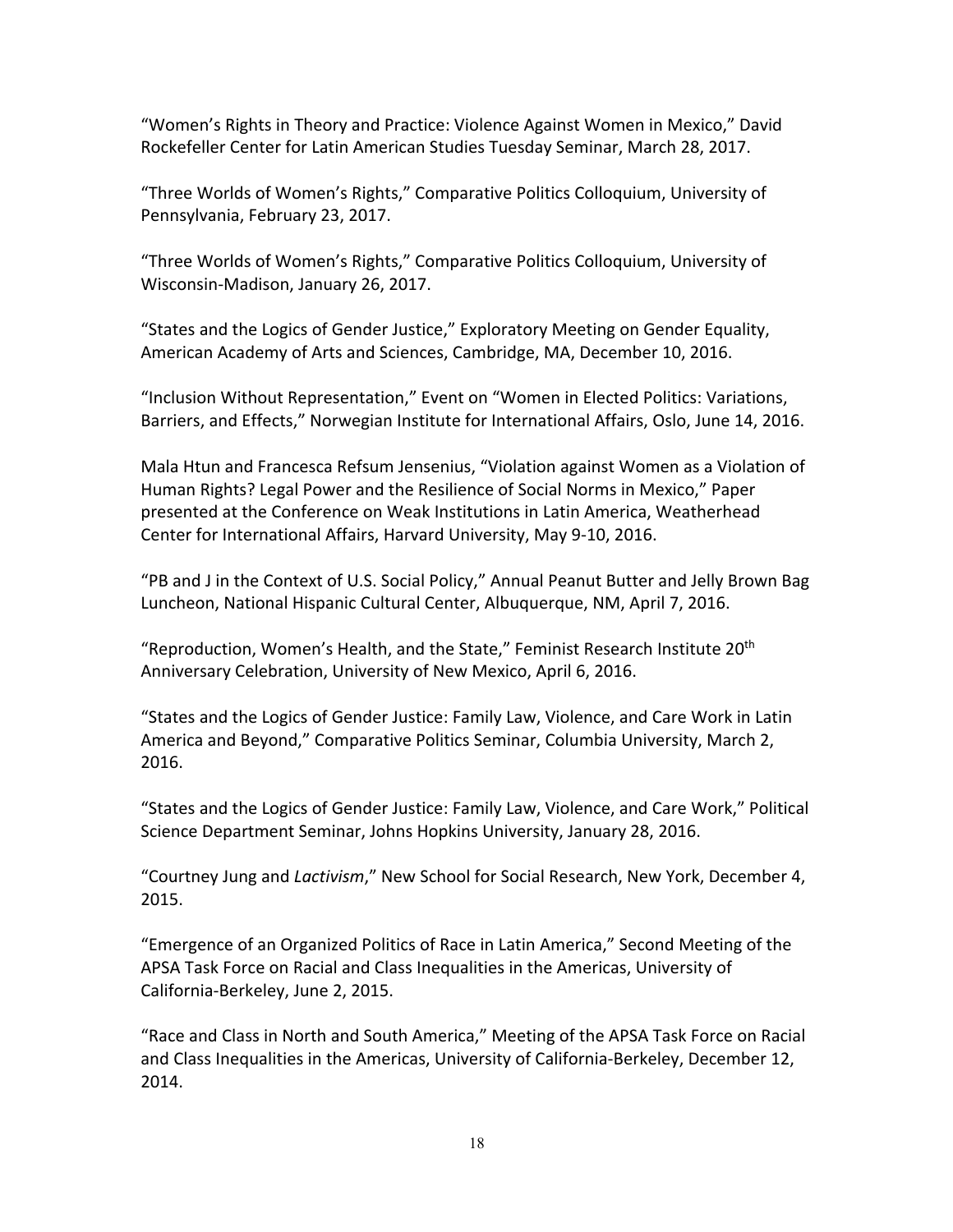"Women's Rights in Theory and Practice: Violence Against Women in Mexico," David Rockefeller Center for Latin American Studies Tuesday Seminar, March 28, 2017.

"Three Worlds of Women's Rights," Comparative Politics Colloquium, University of Pennsylvania, February 23, 2017.

"Three Worlds of Women's Rights," Comparative Politics Colloquium, University of Wisconsin-Madison, January 26, 2017.

"States and the Logics of Gender Justice," Exploratory Meeting on Gender Equality, American Academy of Arts and Sciences, Cambridge, MA, December 10, 2016.

"Inclusion Without Representation," Event on "Women in Elected Politics: Variations, Barriers, and Effects," Norwegian Institute for International Affairs, Oslo, June 14, 2016.

Mala Htun and Francesca Refsum Jensenius, "Violation against Women as a Violation of Human Rights? Legal Power and the Resilience of Social Norms in Mexico," Paper presented at the Conference on Weak Institutions in Latin America, Weatherhead Center for International Affairs, Harvard University, May 9-10, 2016.

"PB and J in the Context of U.S. Social Policy," Annual Peanut Butter and Jelly Brown Bag Luncheon, National Hispanic Cultural Center, Albuquerque, NM, April 7, 2016.

"Reproduction, Women's Health, and the State," Feminist Research Institute 20<sup>th</sup> Anniversary Celebration, University of New Mexico, April 6, 2016.

"States and the Logics of Gender Justice: Family Law, Violence, and Care Work in Latin America and Beyond," Comparative Politics Seminar, Columbia University, March 2, 2016.

"States and the Logics of Gender Justice: Family Law, Violence, and Care Work," Political Science Department Seminar, Johns Hopkins University, January 28, 2016.

"Courtney Jung and *Lactivism*," New School for Social Research, New York, December 4, 2015.

"Emergence of an Organized Politics of Race in Latin America," Second Meeting of the APSA Task Force on Racial and Class Inequalities in the Americas, University of California-Berkeley, June 2, 2015.

"Race and Class in North and South America," Meeting of the APSA Task Force on Racial and Class Inequalities in the Americas, University of California-Berkeley, December 12, 2014.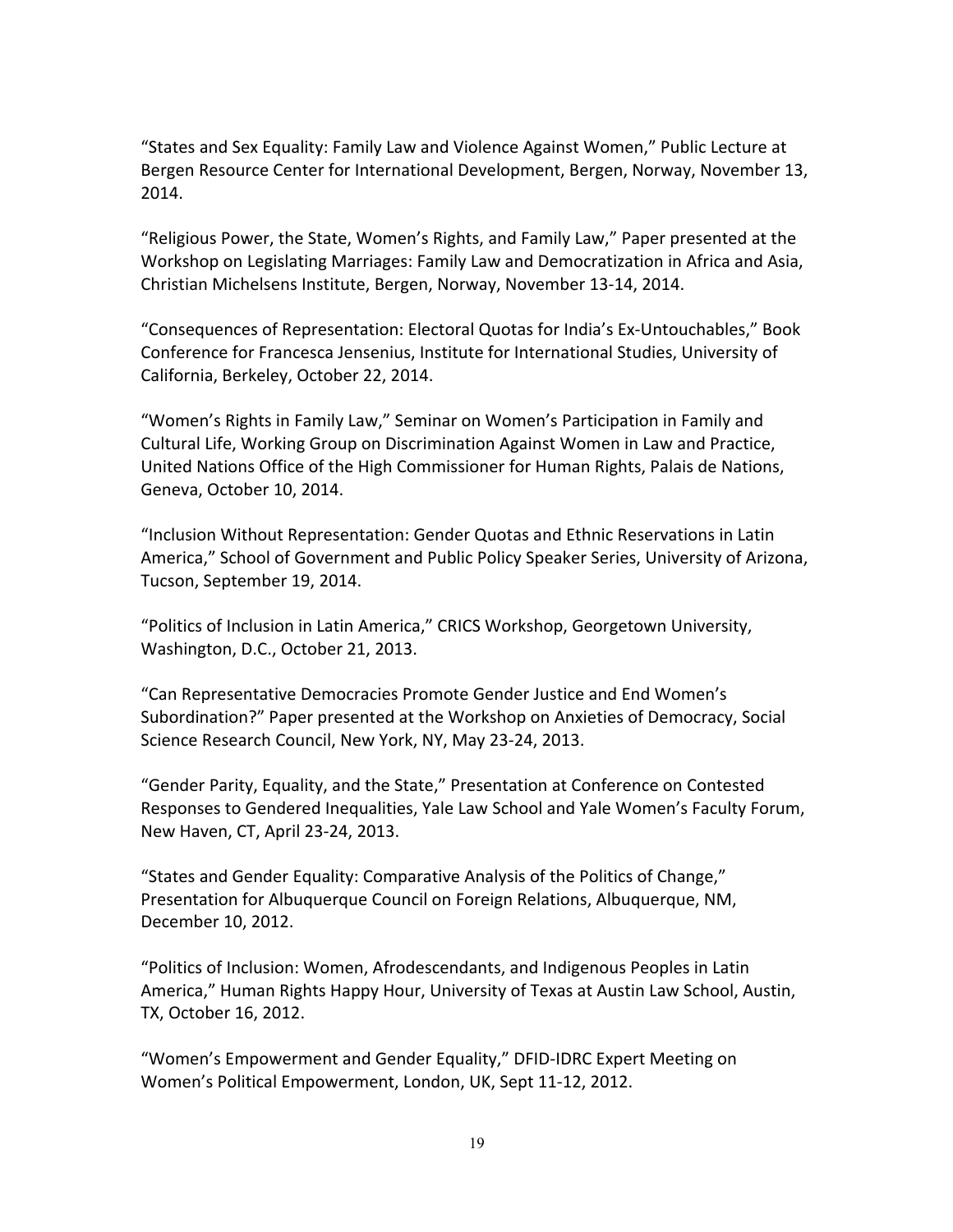"States and Sex Equality: Family Law and Violence Against Women," Public Lecture at Bergen Resource Center for International Development, Bergen, Norway, November 13, 2014.

"Religious Power, the State, Women's Rights, and Family Law," Paper presented at the Workshop on Legislating Marriages: Family Law and Democratization in Africa and Asia, Christian Michelsens Institute, Bergen, Norway, November 13-14, 2014.

"Consequences of Representation: Electoral Quotas for India's Ex-Untouchables," Book Conference for Francesca Jensenius, Institute for International Studies, University of California, Berkeley, October 22, 2014.

"Women's Rights in Family Law," Seminar on Women's Participation in Family and Cultural Life, Working Group on Discrimination Against Women in Law and Practice, United Nations Office of the High Commissioner for Human Rights, Palais de Nations, Geneva, October 10, 2014.

"Inclusion Without Representation: Gender Quotas and Ethnic Reservations in Latin America," School of Government and Public Policy Speaker Series, University of Arizona, Tucson, September 19, 2014.

"Politics of Inclusion in Latin America," CRICS Workshop, Georgetown University, Washington, D.C., October 21, 2013.

"Can Representative Democracies Promote Gender Justice and End Women's Subordination?" Paper presented at the Workshop on Anxieties of Democracy, Social Science Research Council, New York, NY, May 23-24, 2013.

"Gender Parity, Equality, and the State," Presentation at Conference on Contested Responses to Gendered Inequalities, Yale Law School and Yale Women's Faculty Forum, New Haven, CT, April 23-24, 2013.

"States and Gender Equality: Comparative Analysis of the Politics of Change," Presentation for Albuquerque Council on Foreign Relations, Albuquerque, NM, December 10, 2012.

"Politics of Inclusion: Women, Afrodescendants, and Indigenous Peoples in Latin America," Human Rights Happy Hour, University of Texas at Austin Law School, Austin, TX, October 16, 2012.

"Women's Empowerment and Gender Equality," DFID-IDRC Expert Meeting on Women's Political Empowerment, London, UK, Sept 11-12, 2012.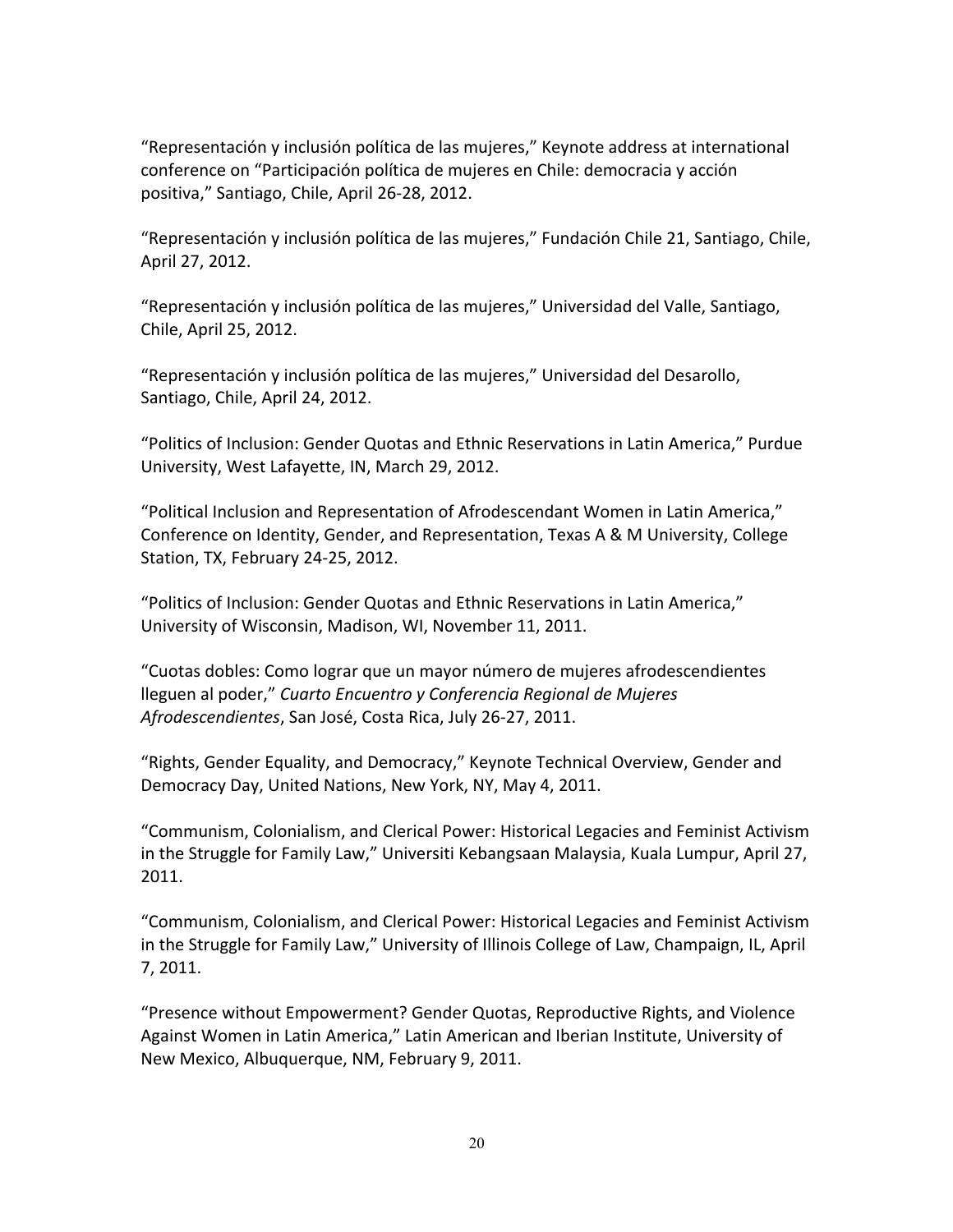"Representación y inclusión política de las mujeres," Keynote address at international conference on "Participación política de mujeres en Chile: democracia y acción positiva," Santiago, Chile, April 26-28, 2012.

"Representación y inclusión política de las mujeres," Fundación Chile 21, Santiago, Chile, April 27, 2012.

"Representación y inclusión política de las mujeres," Universidad del Valle, Santiago, Chile, April 25, 2012.

"Representación y inclusión política de las mujeres," Universidad del Desarollo, Santiago, Chile, April 24, 2012.

"Politics of Inclusion: Gender Quotas and Ethnic Reservations in Latin America," Purdue University, West Lafayette, IN, March 29, 2012.

"Political Inclusion and Representation of Afrodescendant Women in Latin America," Conference on Identity, Gender, and Representation, Texas A & M University, College Station, TX, February 24-25, 2012.

"Politics of Inclusion: Gender Quotas and Ethnic Reservations in Latin America," University of Wisconsin, Madison, WI, November 11, 2011.

"Cuotas dobles: Como lograr que un mayor número de mujeres afrodescendientes lleguen al poder," *Cuarto Encuentro y Conferencia Regional de Mujeres Afrodescendientes*, San José, Costa Rica, July 26-27, 2011.

"Rights, Gender Equality, and Democracy," Keynote Technical Overview, Gender and Democracy Day, United Nations, New York, NY, May 4, 2011.

"Communism, Colonialism, and Clerical Power: Historical Legacies and Feminist Activism in the Struggle for Family Law," Universiti Kebangsaan Malaysia, Kuala Lumpur, April 27, 2011.

"Communism, Colonialism, and Clerical Power: Historical Legacies and Feminist Activism in the Struggle for Family Law," University of Illinois College of Law, Champaign, IL, April 7, 2011.

"Presence without Empowerment? Gender Quotas, Reproductive Rights, and Violence Against Women in Latin America," Latin American and Iberian Institute, University of New Mexico, Albuquerque, NM, February 9, 2011.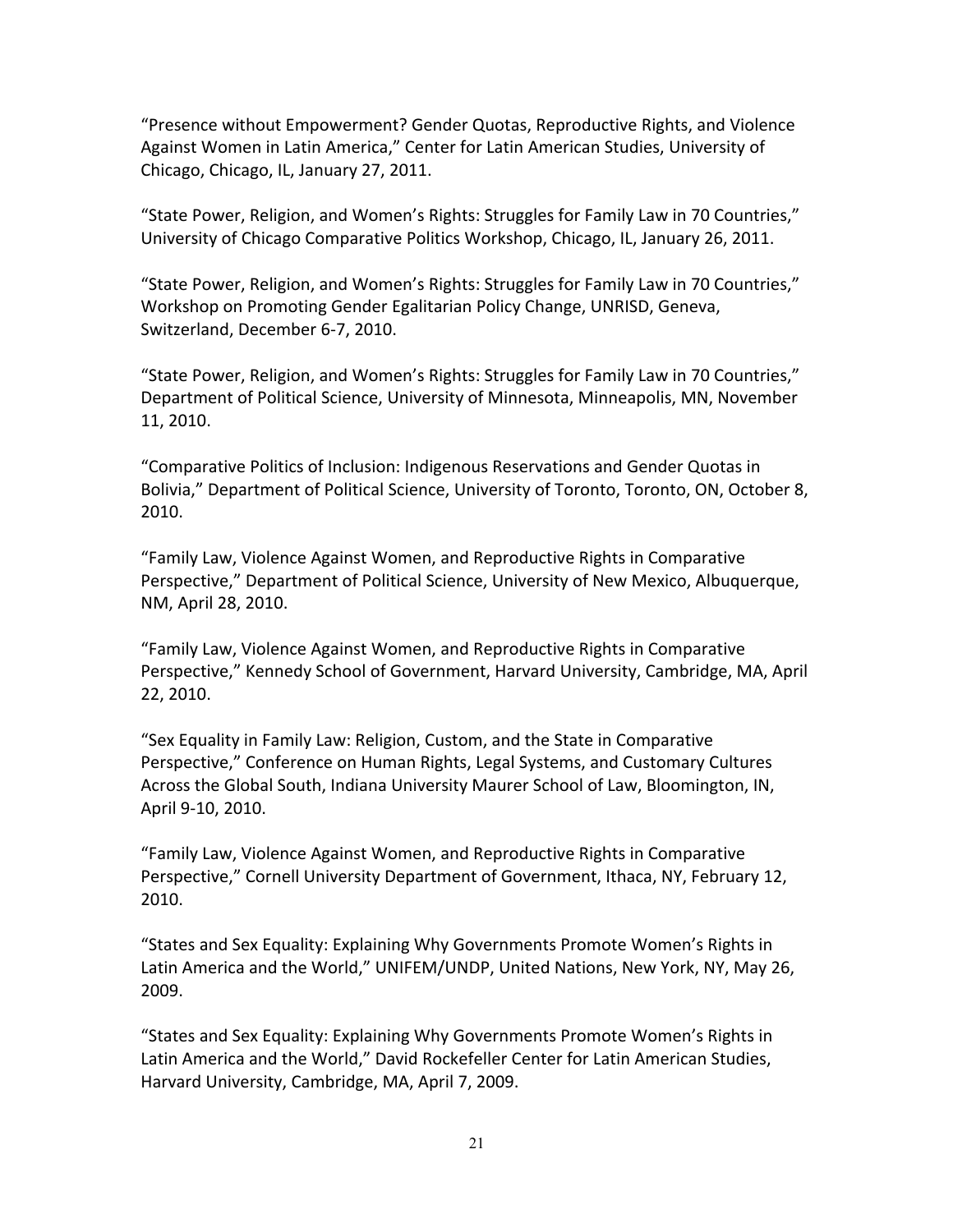"Presence without Empowerment? Gender Quotas, Reproductive Rights, and Violence Against Women in Latin America," Center for Latin American Studies, University of Chicago, Chicago, IL, January 27, 2011.

"State Power, Religion, and Women's Rights: Struggles for Family Law in 70 Countries," University of Chicago Comparative Politics Workshop, Chicago, IL, January 26, 2011.

"State Power, Religion, and Women's Rights: Struggles for Family Law in 70 Countries," Workshop on Promoting Gender Egalitarian Policy Change, UNRISD, Geneva, Switzerland, December 6-7, 2010.

"State Power, Religion, and Women's Rights: Struggles for Family Law in 70 Countries," Department of Political Science, University of Minnesota, Minneapolis, MN, November 11, 2010.

"Comparative Politics of Inclusion: Indigenous Reservations and Gender Quotas in Bolivia," Department of Political Science, University of Toronto, Toronto, ON, October 8, 2010.

"Family Law, Violence Against Women, and Reproductive Rights in Comparative Perspective," Department of Political Science, University of New Mexico, Albuquerque, NM, April 28, 2010.

"Family Law, Violence Against Women, and Reproductive Rights in Comparative Perspective," Kennedy School of Government, Harvard University, Cambridge, MA, April 22, 2010.

"Sex Equality in Family Law: Religion, Custom, and the State in Comparative Perspective," Conference on Human Rights, Legal Systems, and Customary Cultures Across the Global South, Indiana University Maurer School of Law, Bloomington, IN, April 9-10, 2010.

"Family Law, Violence Against Women, and Reproductive Rights in Comparative Perspective," Cornell University Department of Government, Ithaca, NY, February 12, 2010.

"States and Sex Equality: Explaining Why Governments Promote Women's Rights in Latin America and the World," UNIFEM/UNDP, United Nations, New York, NY, May 26, 2009.

"States and Sex Equality: Explaining Why Governments Promote Women's Rights in Latin America and the World," David Rockefeller Center for Latin American Studies, Harvard University, Cambridge, MA, April 7, 2009.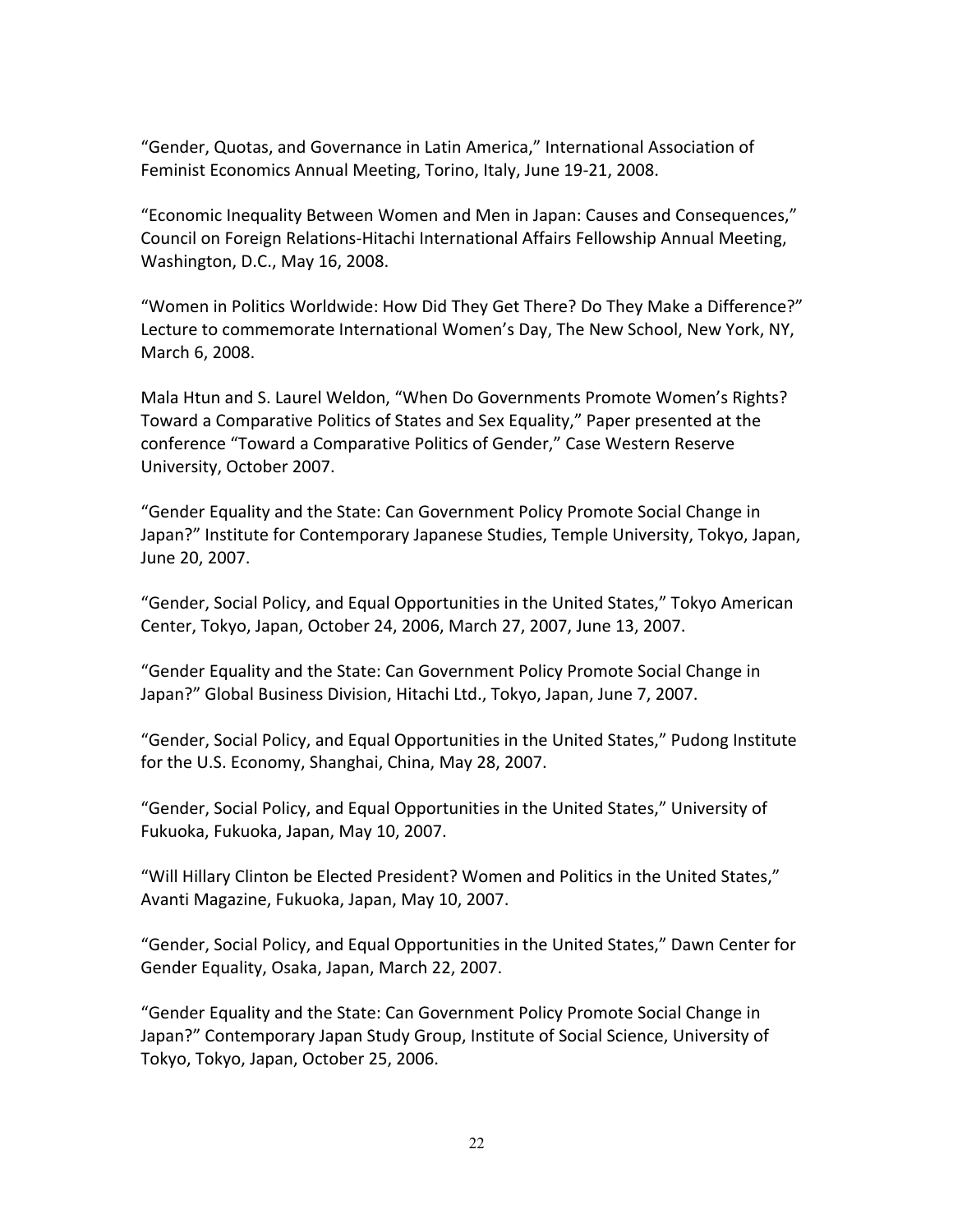"Gender, Quotas, and Governance in Latin America," International Association of Feminist Economics Annual Meeting, Torino, Italy, June 19-21, 2008.

"Economic Inequality Between Women and Men in Japan: Causes and Consequences," Council on Foreign Relations-Hitachi International Affairs Fellowship Annual Meeting, Washington, D.C., May 16, 2008.

"Women in Politics Worldwide: How Did They Get There? Do They Make a Difference?" Lecture to commemorate International Women's Day, The New School, New York, NY, March 6, 2008.

Mala Htun and S. Laurel Weldon, "When Do Governments Promote Women's Rights? Toward a Comparative Politics of States and Sex Equality," Paper presented at the conference "Toward a Comparative Politics of Gender," Case Western Reserve University, October 2007.

"Gender Equality and the State: Can Government Policy Promote Social Change in Japan?" Institute for Contemporary Japanese Studies, Temple University, Tokyo, Japan, June 20, 2007.

"Gender, Social Policy, and Equal Opportunities in the United States," Tokyo American Center, Tokyo, Japan, October 24, 2006, March 27, 2007, June 13, 2007.

"Gender Equality and the State: Can Government Policy Promote Social Change in Japan?" Global Business Division, Hitachi Ltd., Tokyo, Japan, June 7, 2007.

"Gender, Social Policy, and Equal Opportunities in the United States," Pudong Institute for the U.S. Economy, Shanghai, China, May 28, 2007.

"Gender, Social Policy, and Equal Opportunities in the United States," University of Fukuoka, Fukuoka, Japan, May 10, 2007.

"Will Hillary Clinton be Elected President? Women and Politics in the United States," Avanti Magazine, Fukuoka, Japan, May 10, 2007.

"Gender, Social Policy, and Equal Opportunities in the United States," Dawn Center for Gender Equality, Osaka, Japan, March 22, 2007.

"Gender Equality and the State: Can Government Policy Promote Social Change in Japan?" Contemporary Japan Study Group, Institute of Social Science, University of Tokyo, Tokyo, Japan, October 25, 2006.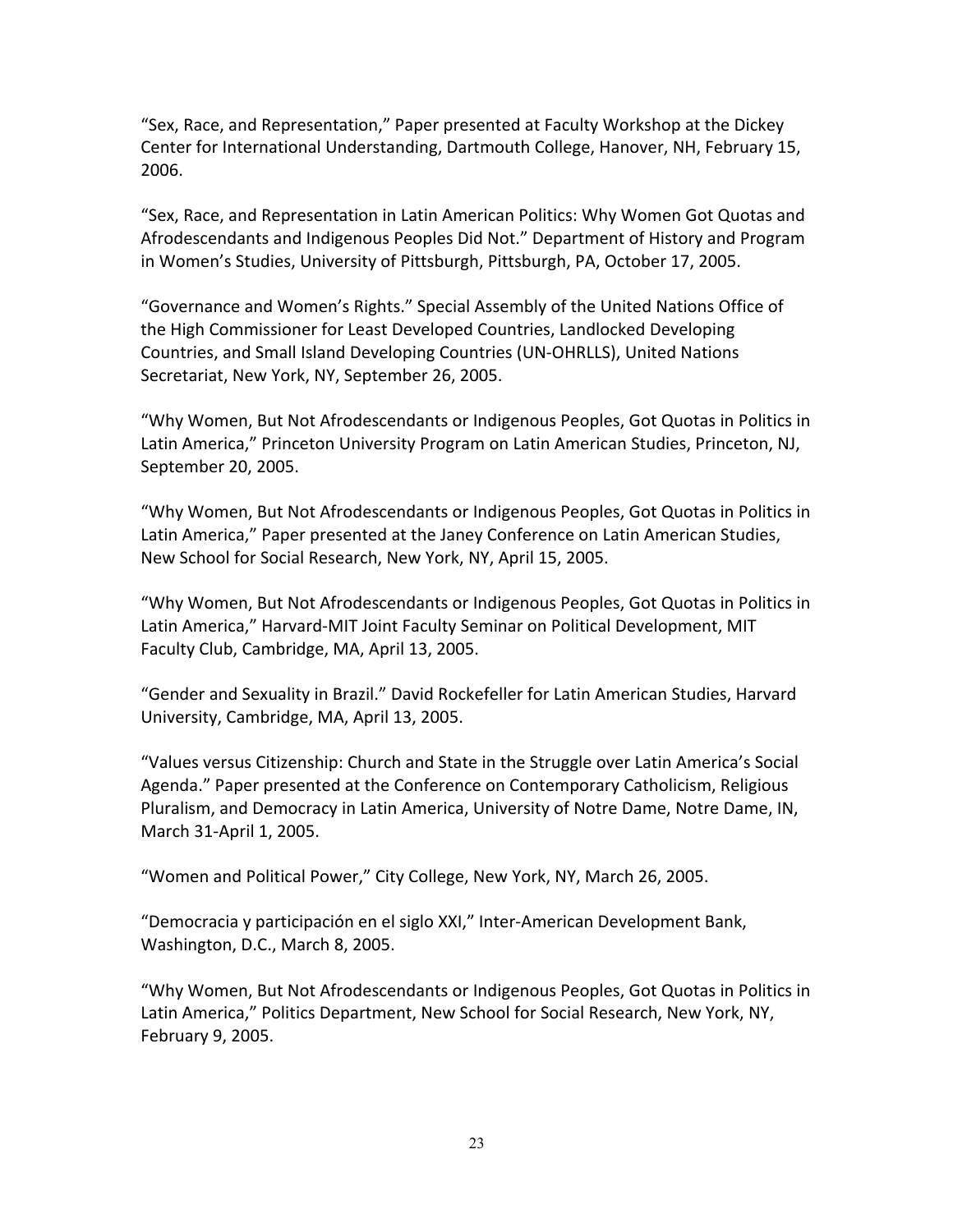"Sex, Race, and Representation," Paper presented at Faculty Workshop at the Dickey Center for International Understanding, Dartmouth College, Hanover, NH, February 15, 2006.

"Sex, Race, and Representation in Latin American Politics: Why Women Got Quotas and Afrodescendants and Indigenous Peoples Did Not." Department of History and Program in Women's Studies, University of Pittsburgh, Pittsburgh, PA, October 17, 2005.

"Governance and Women's Rights." Special Assembly of the United Nations Office of the High Commissioner for Least Developed Countries, Landlocked Developing Countries, and Small Island Developing Countries (UN-OHRLLS), United Nations Secretariat, New York, NY, September 26, 2005.

"Why Women, But Not Afrodescendants or Indigenous Peoples, Got Quotas in Politics in Latin America," Princeton University Program on Latin American Studies, Princeton, NJ, September 20, 2005.

"Why Women, But Not Afrodescendants or Indigenous Peoples, Got Quotas in Politics in Latin America," Paper presented at the Janey Conference on Latin American Studies, New School for Social Research, New York, NY, April 15, 2005.

"Why Women, But Not Afrodescendants or Indigenous Peoples, Got Quotas in Politics in Latin America," Harvard-MIT Joint Faculty Seminar on Political Development, MIT Faculty Club, Cambridge, MA, April 13, 2005.

"Gender and Sexuality in Brazil." David Rockefeller for Latin American Studies, Harvard University, Cambridge, MA, April 13, 2005.

"Values versus Citizenship: Church and State in the Struggle over Latin America's Social Agenda." Paper presented at the Conference on Contemporary Catholicism, Religious Pluralism, and Democracy in Latin America, University of Notre Dame, Notre Dame, IN, March 31-April 1, 2005.

"Women and Political Power," City College, New York, NY, March 26, 2005.

"Democracia y participación en el siglo XXI," Inter-American Development Bank, Washington, D.C., March 8, 2005.

"Why Women, But Not Afrodescendants or Indigenous Peoples, Got Quotas in Politics in Latin America," Politics Department, New School for Social Research, New York, NY, February 9, 2005.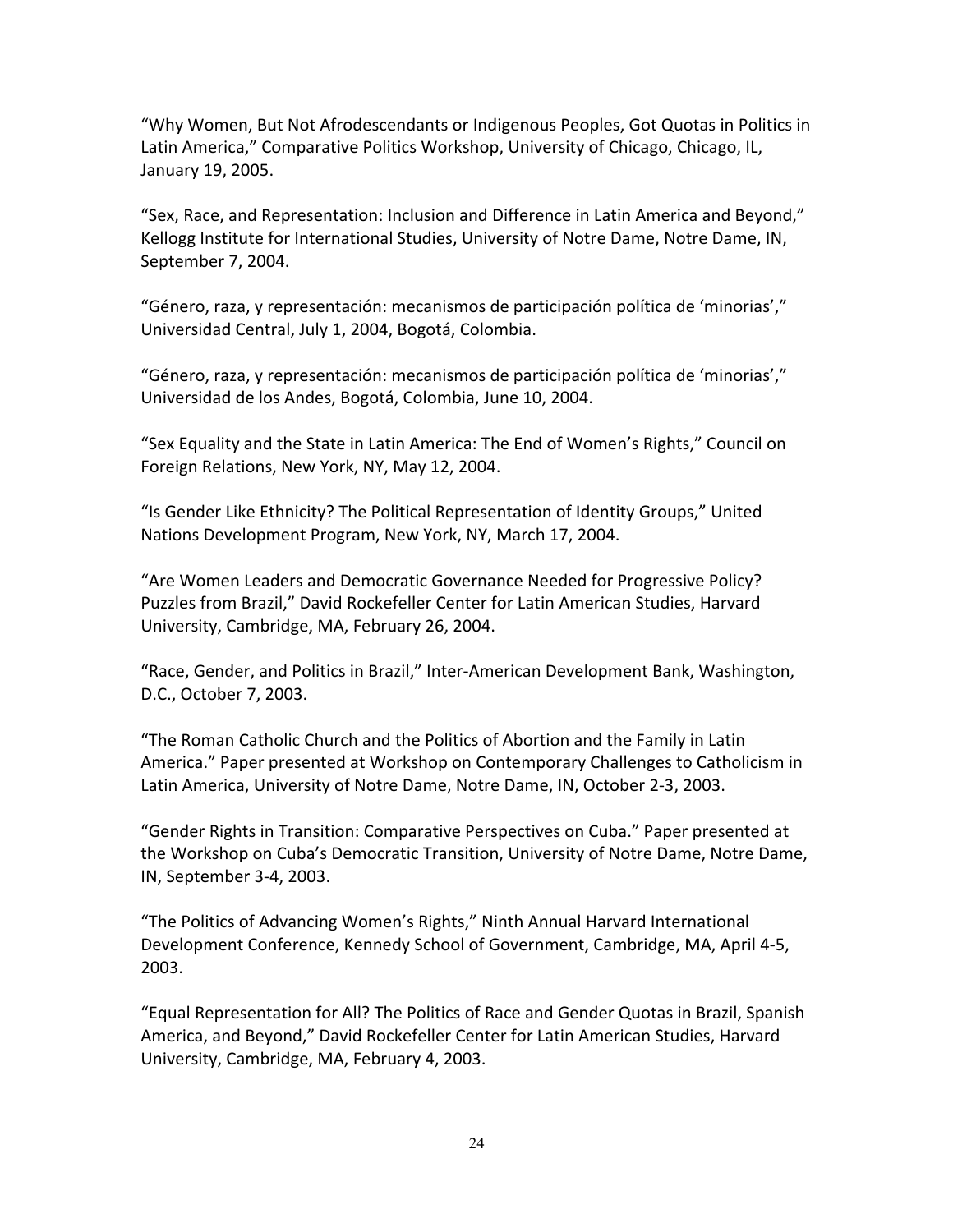"Why Women, But Not Afrodescendants or Indigenous Peoples, Got Quotas in Politics in Latin America," Comparative Politics Workshop, University of Chicago, Chicago, IL, January 19, 2005.

"Sex, Race, and Representation: Inclusion and Difference in Latin America and Beyond," Kellogg Institute for International Studies, University of Notre Dame, Notre Dame, IN, September 7, 2004.

"Género, raza, y representación: mecanismos de participación política de 'minorias'," Universidad Central, July 1, 2004, Bogotá, Colombia.

"Género, raza, y representación: mecanismos de participación política de 'minorias'," Universidad de los Andes, Bogotá, Colombia, June 10, 2004.

"Sex Equality and the State in Latin America: The End of Women's Rights," Council on Foreign Relations, New York, NY, May 12, 2004.

"Is Gender Like Ethnicity? The Political Representation of Identity Groups," United Nations Development Program, New York, NY, March 17, 2004.

"Are Women Leaders and Democratic Governance Needed for Progressive Policy? Puzzles from Brazil," David Rockefeller Center for Latin American Studies, Harvard University, Cambridge, MA, February 26, 2004.

"Race, Gender, and Politics in Brazil," Inter-American Development Bank, Washington, D.C., October 7, 2003.

"The Roman Catholic Church and the Politics of Abortion and the Family in Latin America." Paper presented at Workshop on Contemporary Challenges to Catholicism in Latin America, University of Notre Dame, Notre Dame, IN, October 2-3, 2003.

"Gender Rights in Transition: Comparative Perspectives on Cuba." Paper presented at the Workshop on Cuba's Democratic Transition, University of Notre Dame, Notre Dame, IN, September 3-4, 2003.

"The Politics of Advancing Women's Rights," Ninth Annual Harvard International Development Conference, Kennedy School of Government, Cambridge, MA, April 4-5, 2003.

"Equal Representation for All? The Politics of Race and Gender Quotas in Brazil, Spanish America, and Beyond," David Rockefeller Center for Latin American Studies, Harvard University, Cambridge, MA, February 4, 2003.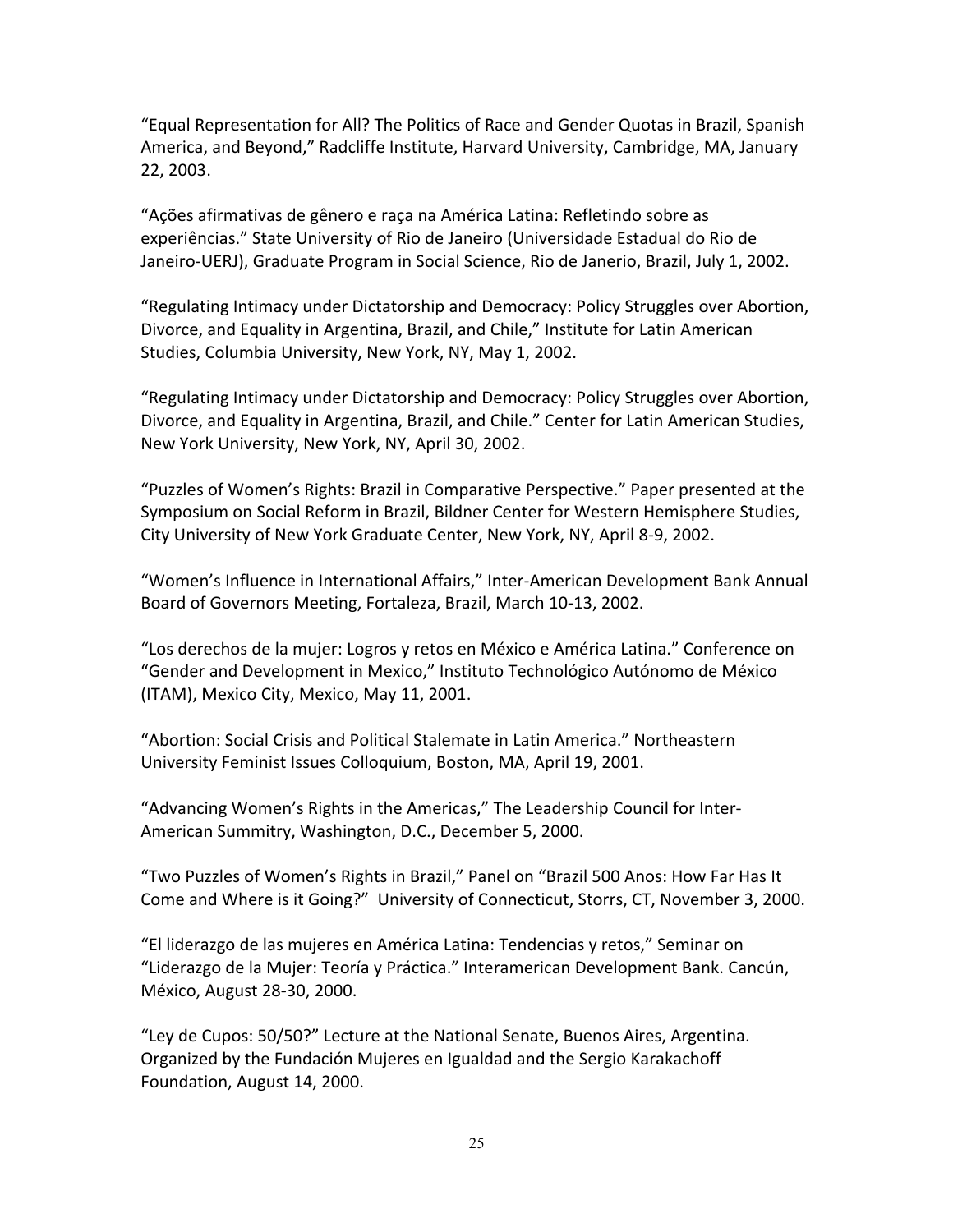"Equal Representation for All? The Politics of Race and Gender Quotas in Brazil, Spanish America, and Beyond," Radcliffe Institute, Harvard University, Cambridge, MA, January 22, 2003.

"Ações afirmativas de gênero e raça na América Latina: Refletindo sobre as experiências." State University of Rio de Janeiro (Universidade Estadual do Rio de Janeiro-UERJ), Graduate Program in Social Science, Rio de Janerio, Brazil, July 1, 2002.

"Regulating Intimacy under Dictatorship and Democracy: Policy Struggles over Abortion, Divorce, and Equality in Argentina, Brazil, and Chile," Institute for Latin American Studies, Columbia University, New York, NY, May 1, 2002.

"Regulating Intimacy under Dictatorship and Democracy: Policy Struggles over Abortion, Divorce, and Equality in Argentina, Brazil, and Chile." Center for Latin American Studies, New York University, New York, NY, April 30, 2002.

"Puzzles of Women's Rights: Brazil in Comparative Perspective." Paper presented at the Symposium on Social Reform in Brazil, Bildner Center for Western Hemisphere Studies, City University of New York Graduate Center, New York, NY, April 8-9, 2002.

"Women's Influence in International Affairs," Inter-American Development Bank Annual Board of Governors Meeting, Fortaleza, Brazil, March 10-13, 2002.

"Los derechos de la mujer: Logros y retos en México e América Latina." Conference on "Gender and Development in Mexico," Instituto Technológico Autónomo de México (ITAM), Mexico City, Mexico, May 11, 2001.

"Abortion: Social Crisis and Political Stalemate in Latin America." Northeastern University Feminist Issues Colloquium, Boston, MA, April 19, 2001.

"Advancing Women's Rights in the Americas," The Leadership Council for Inter-American Summitry, Washington, D.C., December 5, 2000.

"Two Puzzles of Women's Rights in Brazil," Panel on "Brazil 500 Anos: How Far Has It Come and Where is it Going?" University of Connecticut, Storrs, CT, November 3, 2000.

"El liderazgo de las mujeres en América Latina: Tendencias y retos," Seminar on "Liderazgo de la Mujer: Teoría y Práctica." Interamerican Development Bank. Cancún, México, August 28-30, 2000.

"Ley de Cupos: 50/50?" Lecture at the National Senate, Buenos Aires, Argentina. Organized by the Fundación Mujeres en Igualdad and the Sergio Karakachoff Foundation, August 14, 2000.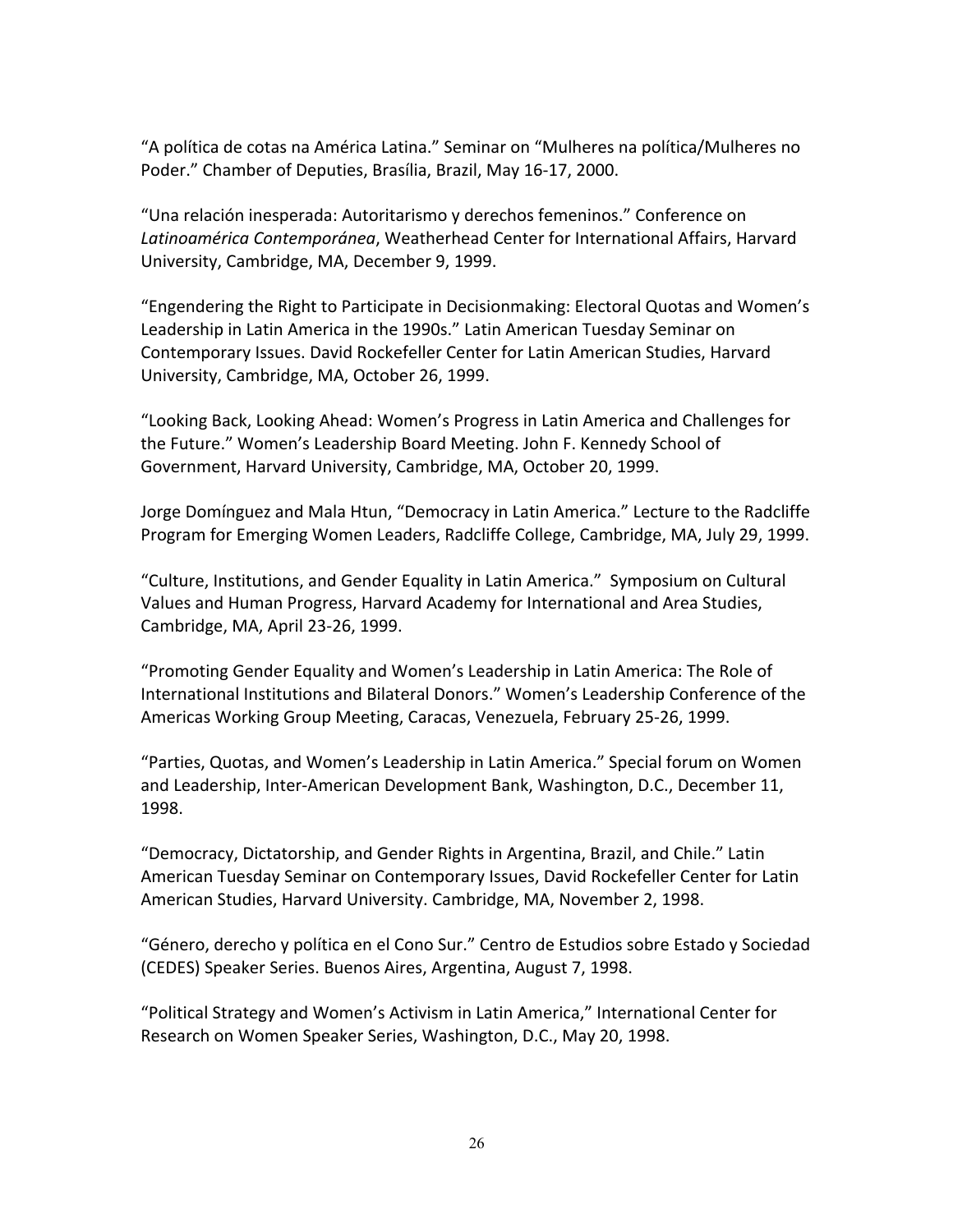"A política de cotas na América Latina." Seminar on "Mulheres na política/Mulheres no Poder." Chamber of Deputies, Brasília, Brazil, May 16-17, 2000.

"Una relación inesperada: Autoritarismo y derechos femeninos." Conference on *Latinoamérica Contemporánea*, Weatherhead Center for International Affairs, Harvard University, Cambridge, MA, December 9, 1999.

"Engendering the Right to Participate in Decisionmaking: Electoral Quotas and Women's Leadership in Latin America in the 1990s." Latin American Tuesday Seminar on Contemporary Issues. David Rockefeller Center for Latin American Studies, Harvard University, Cambridge, MA, October 26, 1999.

"Looking Back, Looking Ahead: Women's Progress in Latin America and Challenges for the Future." Women's Leadership Board Meeting. John F. Kennedy School of Government, Harvard University, Cambridge, MA, October 20, 1999.

Jorge Domínguez and Mala Htun, "Democracy in Latin America." Lecture to the Radcliffe Program for Emerging Women Leaders, Radcliffe College, Cambridge, MA, July 29, 1999.

"Culture, Institutions, and Gender Equality in Latin America." Symposium on Cultural Values and Human Progress, Harvard Academy for International and Area Studies, Cambridge, MA, April 23-26, 1999.

"Promoting Gender Equality and Women's Leadership in Latin America: The Role of International Institutions and Bilateral Donors." Women's Leadership Conference of the Americas Working Group Meeting, Caracas, Venezuela, February 25-26, 1999.

"Parties, Quotas, and Women's Leadership in Latin America." Special forum on Women and Leadership, Inter-American Development Bank, Washington, D.C., December 11, 1998.

"Democracy, Dictatorship, and Gender Rights in Argentina, Brazil, and Chile." Latin American Tuesday Seminar on Contemporary Issues, David Rockefeller Center for Latin American Studies, Harvard University. Cambridge, MA, November 2, 1998.

"Género, derecho y política en el Cono Sur." Centro de Estudios sobre Estado y Sociedad (CEDES) Speaker Series. Buenos Aires, Argentina, August 7, 1998.

"Political Strategy and Women's Activism in Latin America," International Center for Research on Women Speaker Series, Washington, D.C., May 20, 1998.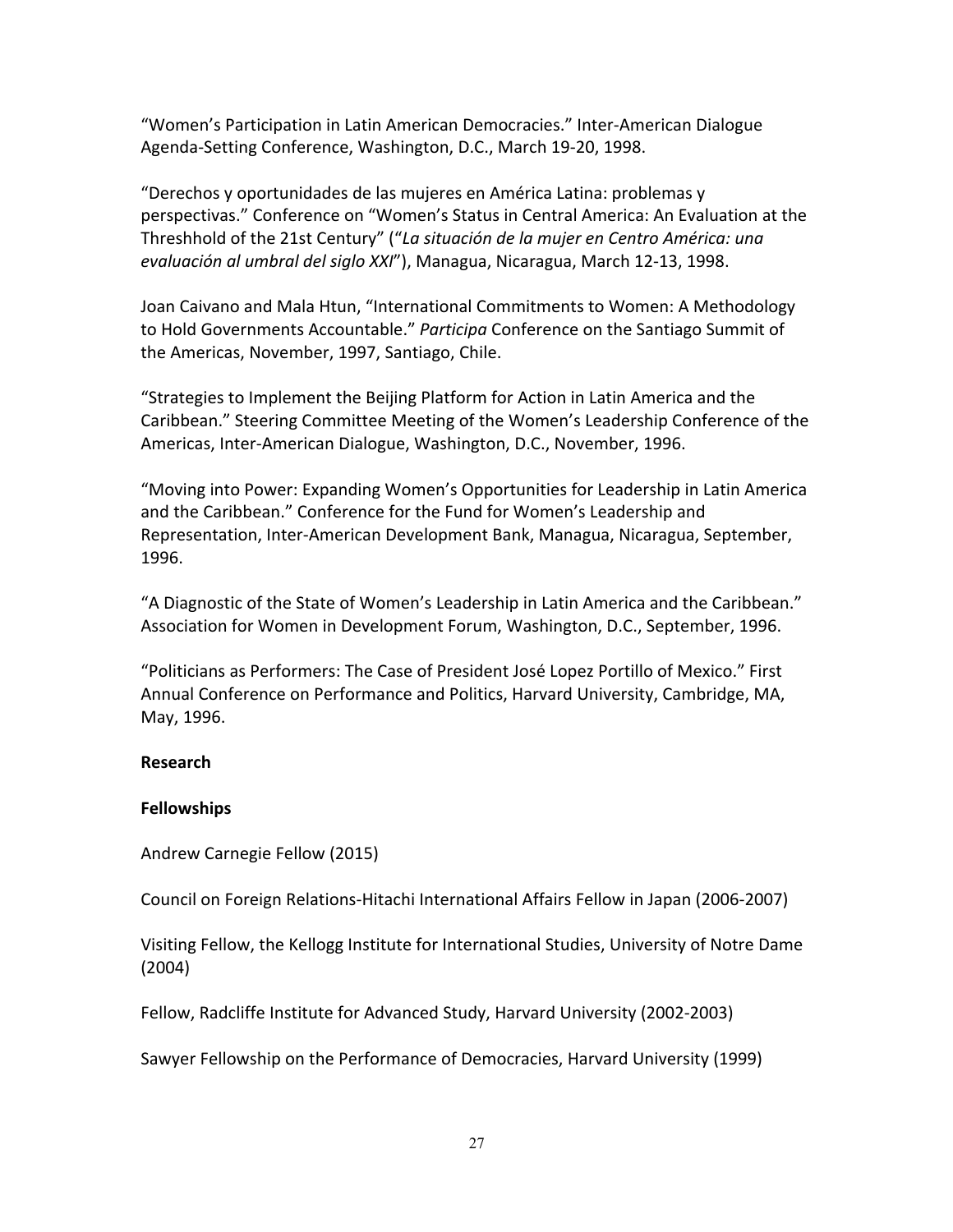"Women's Participation in Latin American Democracies." Inter-American Dialogue Agenda-Setting Conference, Washington, D.C., March 19-20, 1998.

"Derechos y oportunidades de las mujeres en América Latina: problemas y perspectivas." Conference on "Women's Status in Central America: An Evaluation at the Threshhold of the 21st Century" ("*La situación de la mujer en Centro América: una evaluación al umbral del siglo XXI*"), Managua, Nicaragua, March 12-13, 1998.

Joan Caivano and Mala Htun, "International Commitments to Women: A Methodology to Hold Governments Accountable." *Participa* Conference on the Santiago Summit of the Americas, November, 1997, Santiago, Chile.

"Strategies to Implement the Beijing Platform for Action in Latin America and the Caribbean." Steering Committee Meeting of the Women's Leadership Conference of the Americas, Inter-American Dialogue, Washington, D.C., November, 1996.

"Moving into Power: Expanding Women's Opportunities for Leadership in Latin America and the Caribbean." Conference for the Fund for Women's Leadership and Representation, Inter-American Development Bank, Managua, Nicaragua, September, 1996.

"A Diagnostic of the State of Women's Leadership in Latin America and the Caribbean." Association for Women in Development Forum, Washington, D.C., September, 1996.

"Politicians as Performers: The Case of President José Lopez Portillo of Mexico." First Annual Conference on Performance and Politics, Harvard University, Cambridge, MA, May, 1996.

### **Research**

### **Fellowships**

Andrew Carnegie Fellow (2015)

Council on Foreign Relations-Hitachi International Affairs Fellow in Japan (2006-2007)

Visiting Fellow, the Kellogg Institute for International Studies, University of Notre Dame (2004)

Fellow, Radcliffe Institute for Advanced Study, Harvard University (2002-2003)

Sawyer Fellowship on the Performance of Democracies, Harvard University (1999)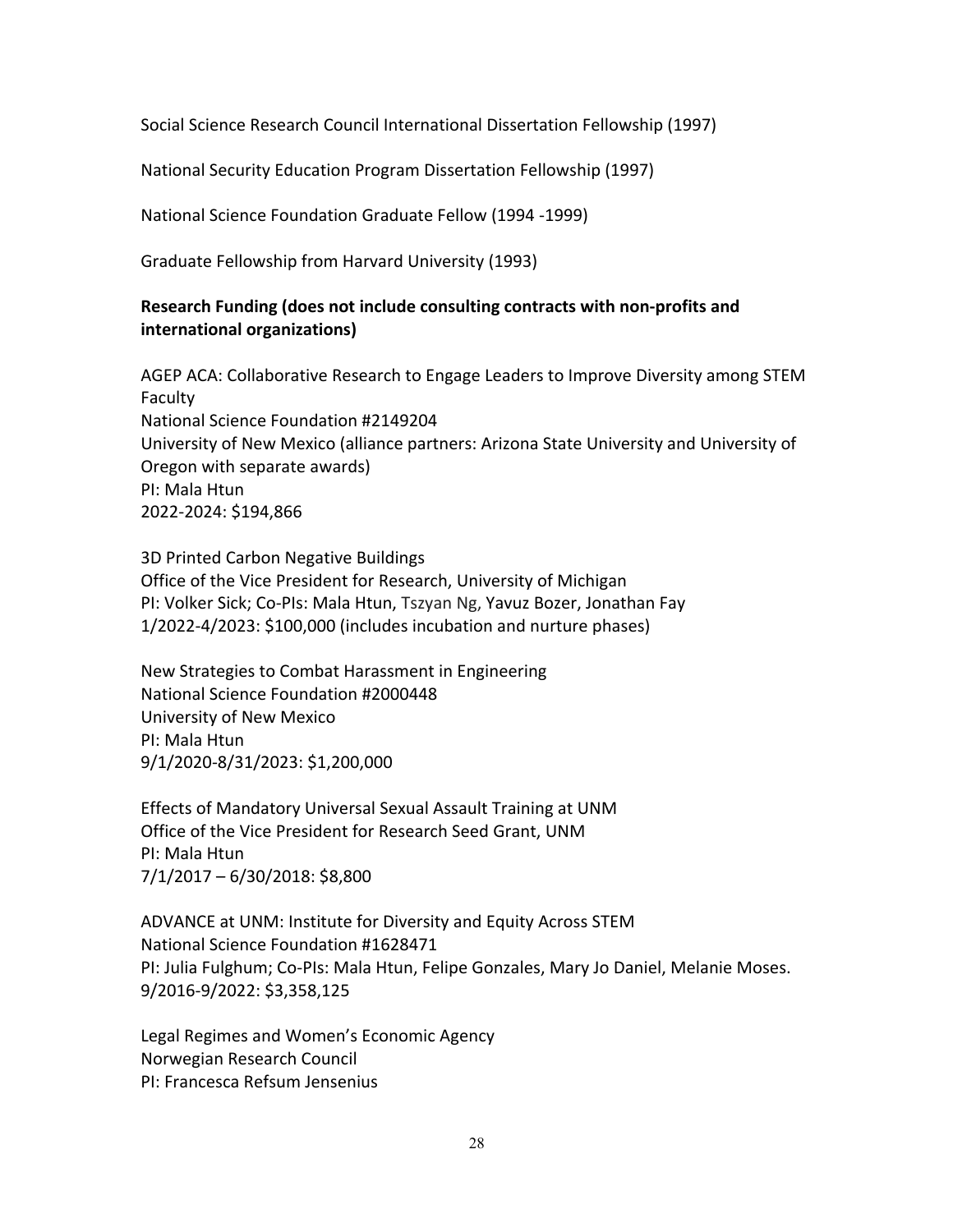Social Science Research Council International Dissertation Fellowship (1997)

National Security Education Program Dissertation Fellowship (1997)

National Science Foundation Graduate Fellow (1994 -1999)

Graduate Fellowship from Harvard University (1993)

# **Research Funding (does not include consulting contracts with non-profits and international organizations)**

AGEP ACA: Collaborative Research to Engage Leaders to Improve Diversity among STEM Faculty National Science Foundation #2149204 University of New Mexico (alliance partners: Arizona State University and University of Oregon with separate awards) PI: Mala Htun 2022-2024: \$194,866

3D Printed Carbon Negative Buildings Office of the Vice President for Research, University of Michigan PI: Volker Sick; Co-PIs: Mala Htun, Tszyan Ng, Yavuz Bozer, Jonathan Fay 1/2022-4/2023: \$100,000 (includes incubation and nurture phases)

New Strategies to Combat Harassment in Engineering National Science Foundation #2000448 University of New Mexico PI: Mala Htun 9/1/2020-8/31/2023: \$1,200,000

Effects of Mandatory Universal Sexual Assault Training at UNM Office of the Vice President for Research Seed Grant, UNM PI: Mala Htun 7/1/2017 – 6/30/2018: \$8,800

ADVANCE at UNM: Institute for Diversity and Equity Across STEM National Science Foundation #1628471 PI: Julia Fulghum; Co-PIs: Mala Htun, Felipe Gonzales, Mary Jo Daniel, Melanie Moses. 9/2016-9/2022: \$3,358,125

Legal Regimes and Women's Economic Agency Norwegian Research Council PI: Francesca Refsum Jensenius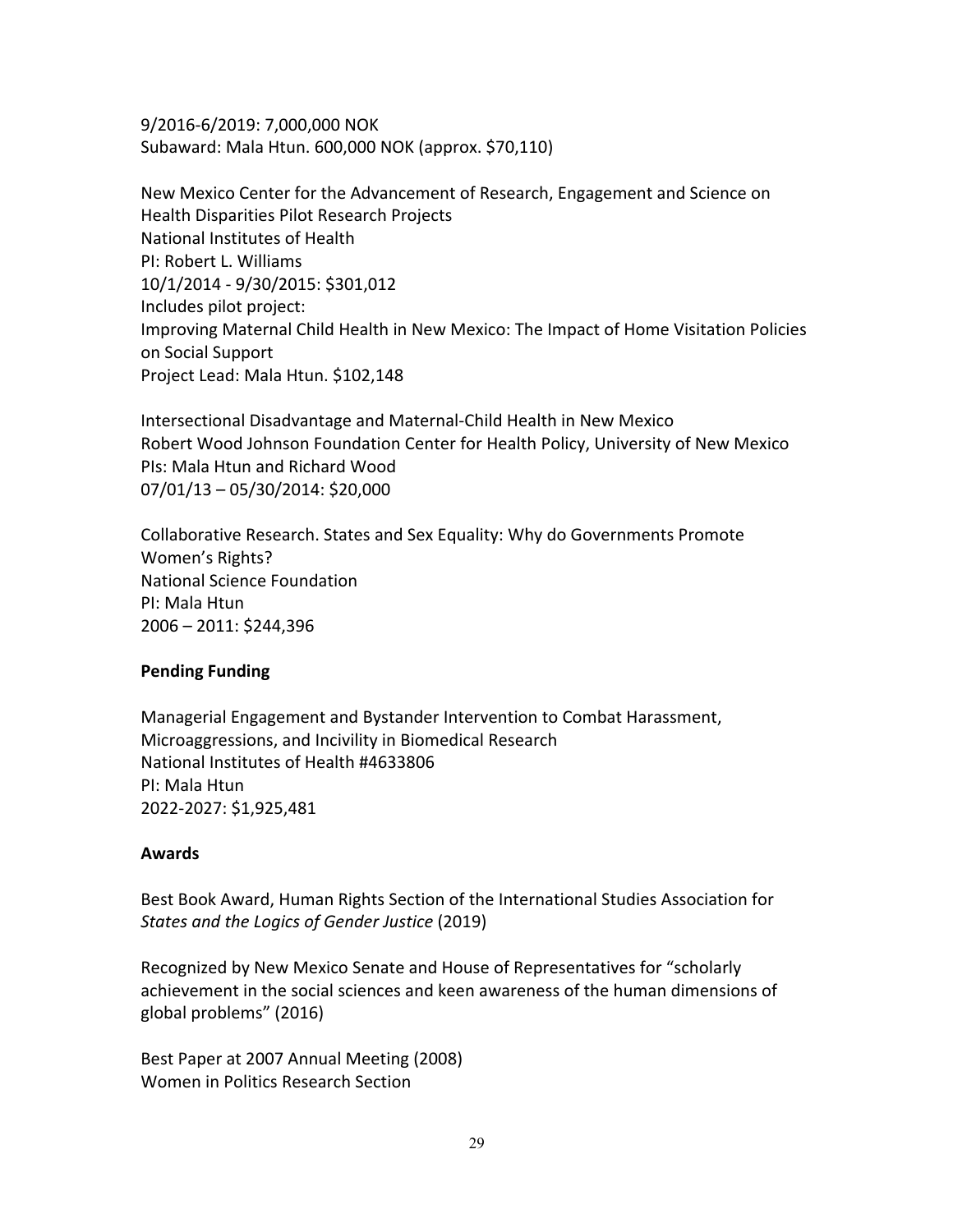9/2016-6/2019: 7,000,000 NOK Subaward: Mala Htun. 600,000 NOK (approx. \$70,110)

New Mexico Center for the Advancement of Research, Engagement and Science on Health Disparities Pilot Research Projects National Institutes of Health PI: Robert L. Williams 10/1/2014 - 9/30/2015: \$301,012 Includes pilot project: Improving Maternal Child Health in New Mexico: The Impact of Home Visitation Policies on Social Support Project Lead: Mala Htun. \$102,148

Intersectional Disadvantage and Maternal-Child Health in New Mexico Robert Wood Johnson Foundation Center for Health Policy, University of New Mexico PIs: Mala Htun and Richard Wood 07/01/13 – 05/30/2014: \$20,000

Collaborative Research. States and Sex Equality: Why do Governments Promote Women's Rights? National Science Foundation PI: Mala Htun 2006 – 2011: \$244,396

### **Pending Funding**

Managerial Engagement and Bystander Intervention to Combat Harassment, Microaggressions, and Incivility in Biomedical Research National Institutes of Health #4633806 PI: Mala Htun 2022-2027: \$1,925,481

### **Awards**

Best Book Award, Human Rights Section of the International Studies Association for *States and the Logics of Gender Justice* (2019)

Recognized by New Mexico Senate and House of Representatives for "scholarly achievement in the social sciences and keen awareness of the human dimensions of global problems" (2016)

Best Paper at 2007 Annual Meeting (2008) Women in Politics Research Section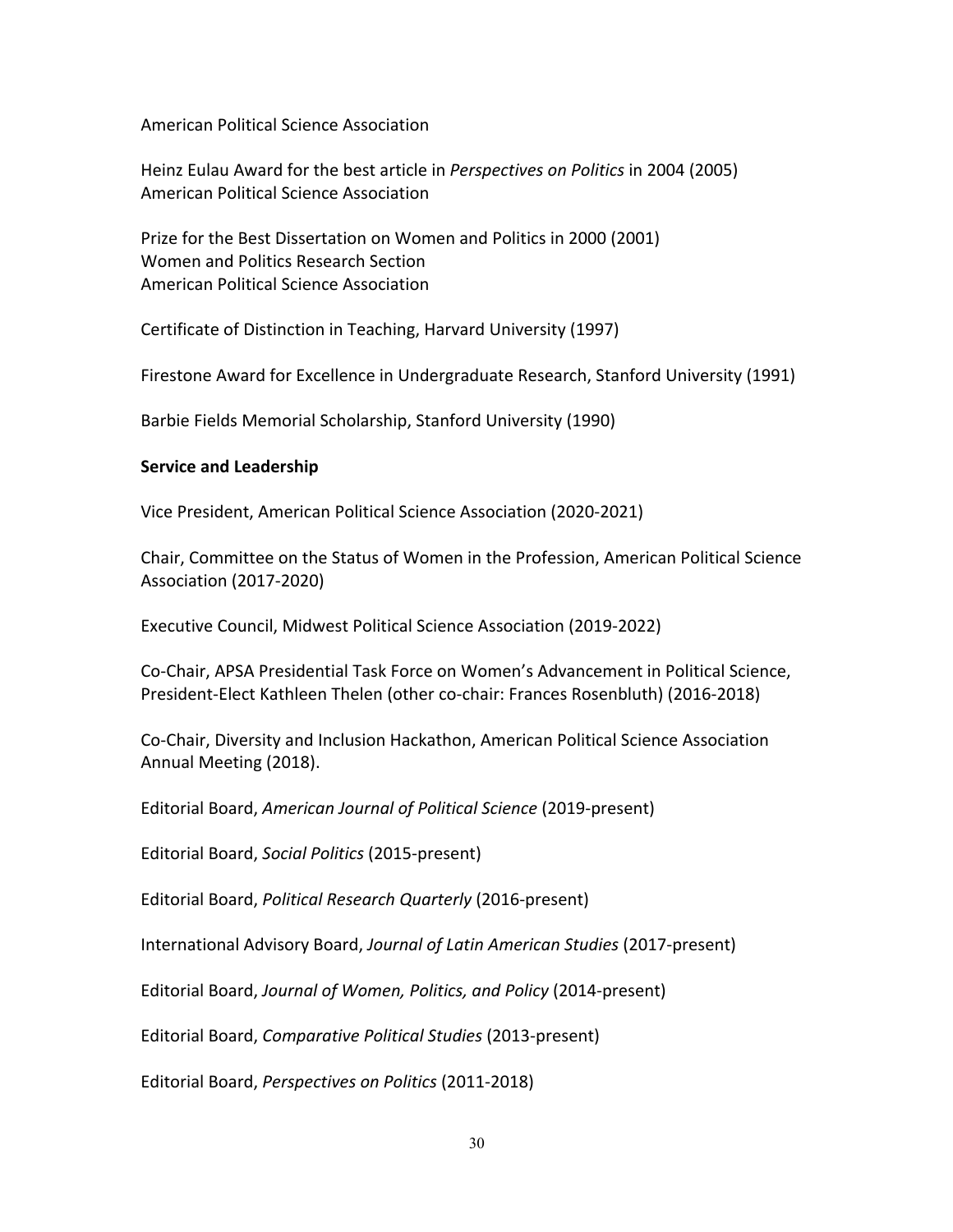American Political Science Association

Heinz Eulau Award for the best article in *Perspectives on Politics* in 2004 (2005) American Political Science Association

Prize for the Best Dissertation on Women and Politics in 2000 (2001) Women and Politics Research Section American Political Science Association

Certificate of Distinction in Teaching, Harvard University (1997)

Firestone Award for Excellence in Undergraduate Research, Stanford University (1991)

Barbie Fields Memorial Scholarship, Stanford University (1990)

#### **Service and Leadership**

Vice President, American Political Science Association (2020-2021)

Chair, Committee on the Status of Women in the Profession, American Political Science Association (2017-2020)

Executive Council, Midwest Political Science Association (2019-2022)

Co-Chair, APSA Presidential Task Force on Women's Advancement in Political Science, President-Elect Kathleen Thelen (other co-chair: Frances Rosenbluth) (2016-2018)

Co-Chair, Diversity and Inclusion Hackathon, American Political Science Association Annual Meeting (2018).

Editorial Board, *American Journal of Political Science* (2019-present)

Editorial Board, *Social Politics* (2015-present)

Editorial Board, *Political Research Quarterly* (2016-present)

International Advisory Board, *Journal of Latin American Studies* (2017-present)

Editorial Board, *Journal of Women, Politics, and Policy* (2014-present)

Editorial Board, *Comparative Political Studies* (2013-present)

Editorial Board, *Perspectives on Politics* (2011-2018)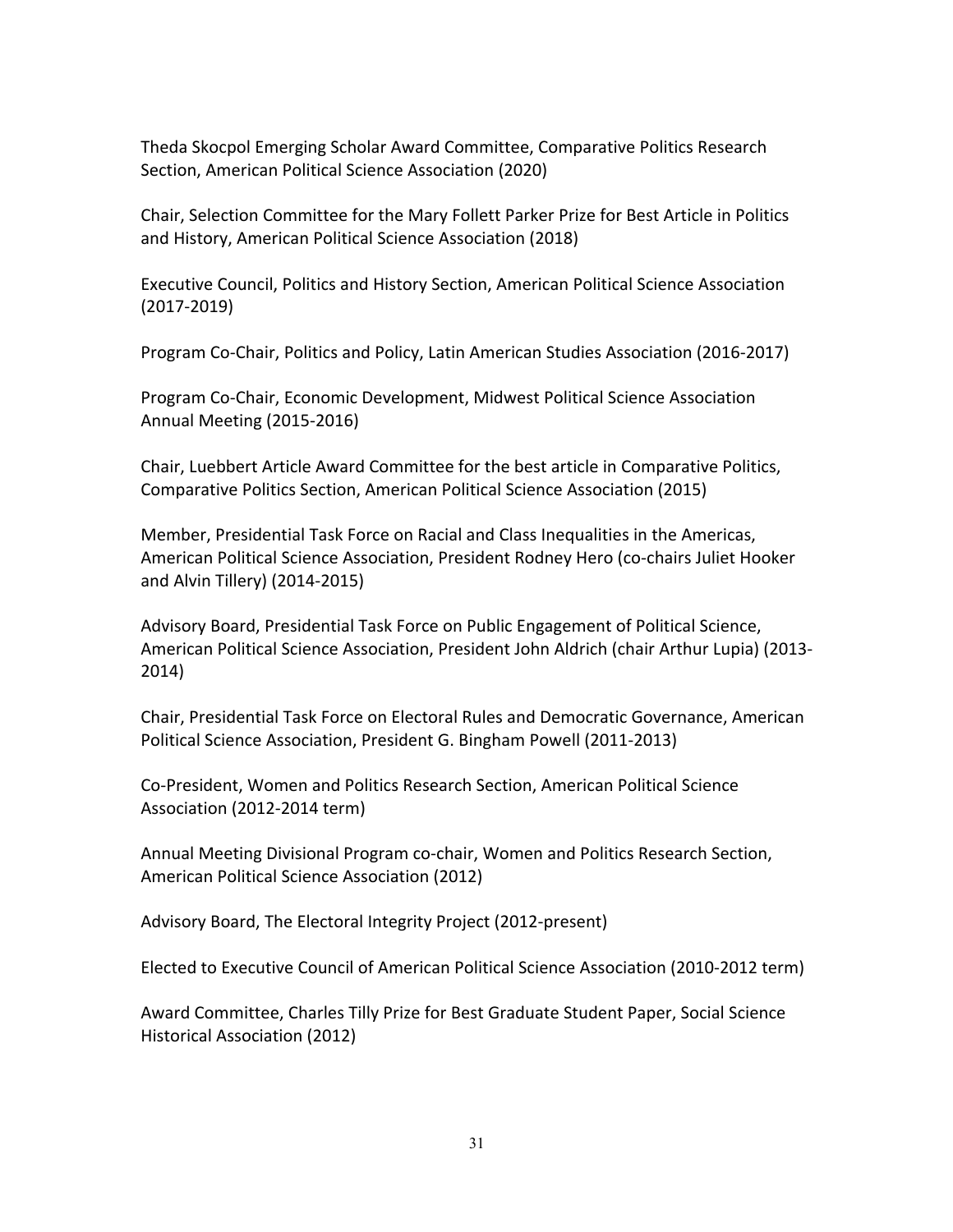Theda Skocpol Emerging Scholar Award Committee, Comparative Politics Research Section, American Political Science Association (2020)

Chair, Selection Committee for the Mary Follett Parker Prize for Best Article in Politics and History, American Political Science Association (2018)

Executive Council, Politics and History Section, American Political Science Association (2017-2019)

Program Co-Chair, Politics and Policy, Latin American Studies Association (2016-2017)

Program Co-Chair, Economic Development, Midwest Political Science Association Annual Meeting (2015-2016)

Chair, Luebbert Article Award Committee for the best article in Comparative Politics, Comparative Politics Section, American Political Science Association (2015)

Member, Presidential Task Force on Racial and Class Inequalities in the Americas, American Political Science Association, President Rodney Hero (co-chairs Juliet Hooker and Alvin Tillery) (2014-2015)

Advisory Board, Presidential Task Force on Public Engagement of Political Science, American Political Science Association, President John Aldrich (chair Arthur Lupia) (2013- 2014)

Chair, Presidential Task Force on Electoral Rules and Democratic Governance, American Political Science Association, President G. Bingham Powell (2011-2013)

Co-President, Women and Politics Research Section, American Political Science Association (2012-2014 term)

Annual Meeting Divisional Program co-chair, Women and Politics Research Section, American Political Science Association (2012)

Advisory Board, The Electoral Integrity Project (2012-present)

Elected to Executive Council of American Political Science Association (2010-2012 term)

Award Committee, Charles Tilly Prize for Best Graduate Student Paper, Social Science Historical Association (2012)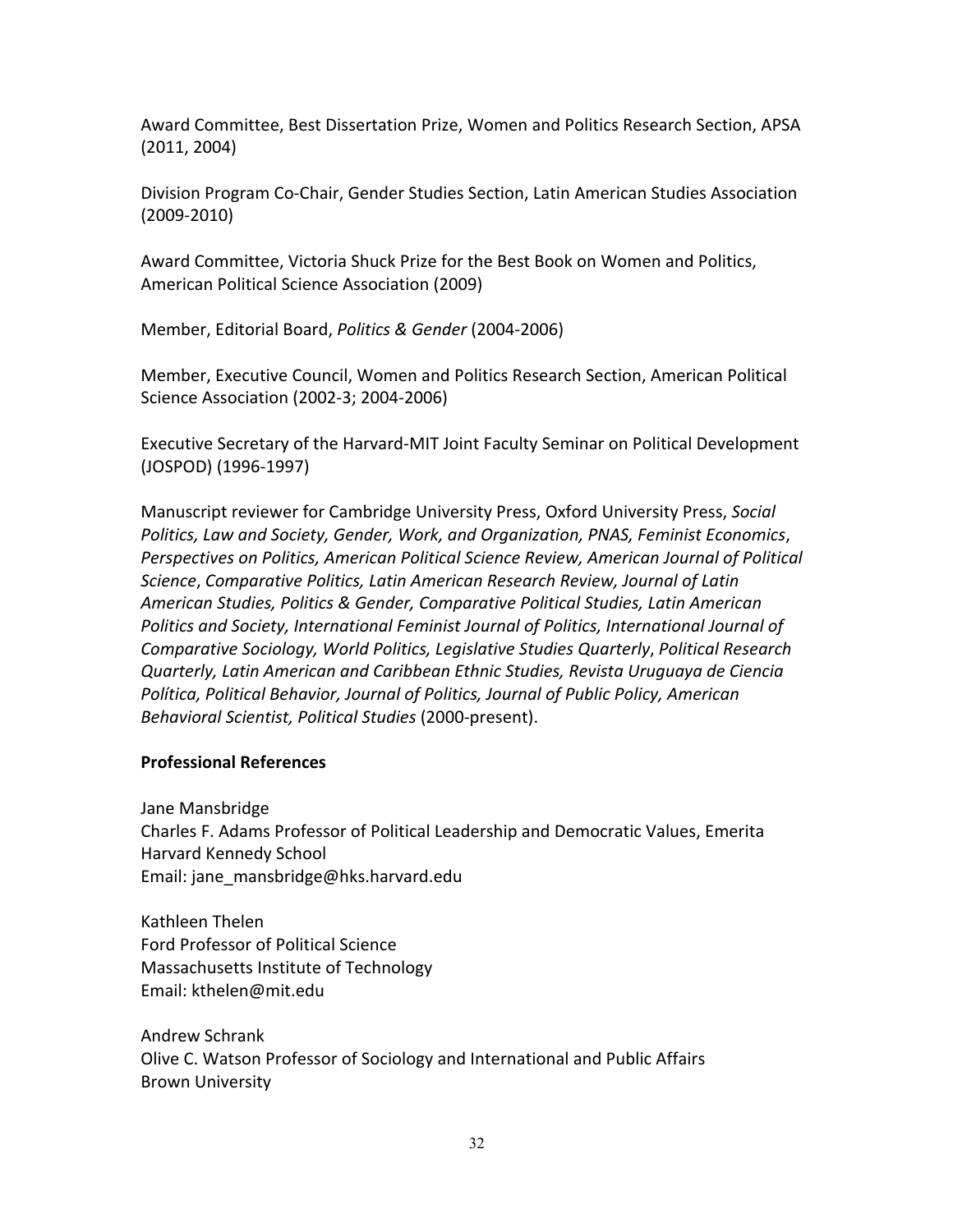Award Committee, Best Dissertation Prize, Women and Politics Research Section, APSA (2011, 2004)

Division Program Co-Chair, Gender Studies Section, Latin American Studies Association (2009-2010)

Award Committee, Victoria Shuck Prize for the Best Book on Women and Politics, American Political Science Association (2009)

Member, Editorial Board, *Politics & Gender* (2004-2006)

Member, Executive Council, Women and Politics Research Section, American Political Science Association (2002-3; 2004-2006)

Executive Secretary of the Harvard-MIT Joint Faculty Seminar on Political Development (JOSPOD) (1996-1997)

Manuscript reviewer for Cambridge University Press, Oxford University Press, *Social Politics, Law and Society, Gender, Work, and Organization, PNAS, Feminist Economics*, *Perspectives on Politics, American Political Science Review, American Journal of Political Science*, *Comparative Politics, Latin American Research Review, Journal of Latin American Studies, Politics & Gender, Comparative Political Studies, Latin American Politics and Society, International Feminist Journal of Politics, International Journal of Comparative Sociology, World Politics, Legislative Studies Quarterly*, *Political Research Quarterly, Latin American and Caribbean Ethnic Studies, Revista Uruguaya de Ciencia Política, Political Behavior, Journal of Politics, Journal of Public Policy, American Behavioral Scientist, Political Studies* (2000-present).

#### **Professional References**

Jane Mansbridge

Charles F. Adams Professor of Political Leadership and Democratic Values, Emerita Harvard Kennedy School Email: jane\_mansbridge@hks.harvard.edu

Kathleen Thelen Ford Professor of Political Science Massachusetts Institute of Technology Email: kthelen@mit.edu

Andrew Schrank Olive C. Watson Professor of Sociology and International and Public Affairs Brown University